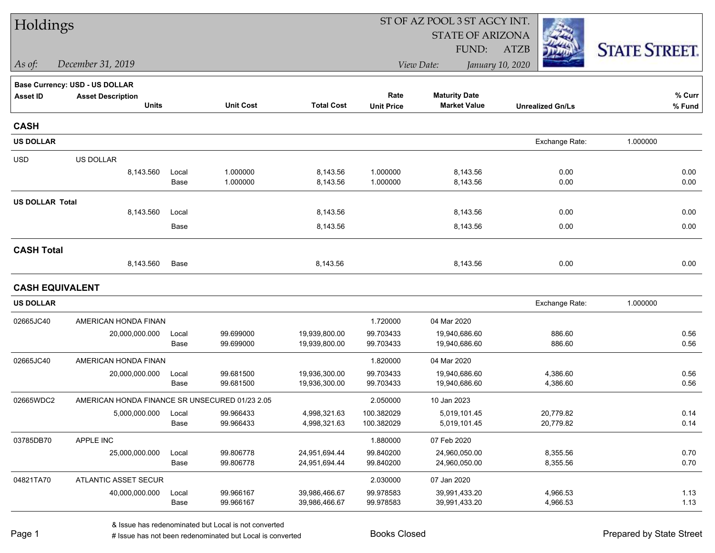| Holdings               |                                                |               |                        |                              | ST OF AZ POOL 3 ST AGCY INT. |                                             |                         |                      |  |
|------------------------|------------------------------------------------|---------------|------------------------|------------------------------|------------------------------|---------------------------------------------|-------------------------|----------------------|--|
|                        |                                                |               |                        |                              |                              | <b>STATE OF ARIZONA</b>                     |                         |                      |  |
|                        |                                                |               |                        |                              |                              | FUND:                                       | ATZB                    | <b>STATE STREET.</b> |  |
| As of:                 | December 31, 2019                              |               |                        |                              |                              | View Date:                                  | January 10, 2020        |                      |  |
|                        | <b>Base Currency: USD - US DOLLAR</b>          |               |                        |                              |                              |                                             |                         |                      |  |
| <b>Asset ID</b>        | <b>Asset Description</b><br><b>Units</b>       |               | <b>Unit Cost</b>       | <b>Total Cost</b>            | Rate<br><b>Unit Price</b>    | <b>Maturity Date</b><br><b>Market Value</b> | <b>Unrealized Gn/Ls</b> | % Curr<br>% Fund     |  |
|                        |                                                |               |                        |                              |                              |                                             |                         |                      |  |
| <b>CASH</b>            |                                                |               |                        |                              |                              |                                             |                         |                      |  |
| <b>US DOLLAR</b>       |                                                |               |                        |                              |                              |                                             | Exchange Rate:          | 1.000000             |  |
| <b>USD</b>             | US DOLLAR                                      |               |                        |                              |                              |                                             |                         |                      |  |
|                        | 8,143.560                                      | Local         | 1.000000               | 8,143.56                     | 1.000000                     | 8,143.56                                    | 0.00                    | 0.00                 |  |
|                        |                                                | Base          | 1.000000               | 8,143.56                     | 1.000000                     | 8,143.56                                    | 0.00                    | 0.00                 |  |
| <b>US DOLLAR Total</b> |                                                |               |                        |                              |                              |                                             |                         |                      |  |
|                        | 8,143.560                                      | Local         |                        | 8,143.56                     |                              | 8,143.56                                    | 0.00                    | 0.00                 |  |
|                        |                                                | Base          |                        | 8,143.56                     |                              | 8,143.56                                    | 0.00                    | 0.00                 |  |
| <b>CASH Total</b>      |                                                |               |                        |                              |                              |                                             |                         |                      |  |
|                        | 8,143.560                                      | Base          |                        | 8,143.56                     |                              | 8,143.56                                    | 0.00                    | 0.00                 |  |
|                        | <b>CASH EQUIVALENT</b>                         |               |                        |                              |                              |                                             |                         |                      |  |
| <b>US DOLLAR</b>       |                                                |               |                        |                              |                              |                                             | Exchange Rate:          | 1.000000             |  |
| 02665JC40              | AMERICAN HONDA FINAN                           |               |                        |                              | 1.720000                     | 04 Mar 2020                                 |                         |                      |  |
|                        | 20,000,000.000                                 | Local         | 99.699000              | 19,939,800.00                | 99.703433                    | 19,940,686.60                               | 886.60                  | 0.56                 |  |
|                        |                                                | Base          | 99.699000              | 19,939,800.00                | 99.703433                    | 19,940,686.60                               | 886.60                  | 0.56                 |  |
| 02665JC40              | AMERICAN HONDA FINAN                           |               |                        |                              | 1.820000                     | 04 Mar 2020                                 |                         |                      |  |
|                        | 20,000,000.000                                 | Local         | 99.681500              | 19,936,300.00                | 99.703433                    | 19,940,686.60                               | 4,386.60                | 0.56                 |  |
|                        |                                                | Base          | 99.681500              | 19,936,300.00                | 99.703433                    | 19,940,686.60                               | 4,386.60                | 0.56                 |  |
| 02665WDC2              | AMERICAN HONDA FINANCE SR UNSECURED 01/23 2.05 |               |                        |                              | 2.050000                     | 10 Jan 2023                                 |                         |                      |  |
|                        | 5,000,000.000                                  | Local<br>Base | 99.966433<br>99.966433 | 4,998,321.63<br>4,998,321.63 | 100.382029<br>100.382029     | 5,019,101.45<br>5,019,101.45                | 20,779.82<br>20,779.82  | 0.14<br>0.14         |  |
| 03785DB70              | APPLE INC                                      |               |                        |                              | 1.880000                     | 07 Feb 2020                                 |                         |                      |  |
|                        | 25,000,000.000                                 | Local         | 99.806778              | 24,951,694.44                | 99.840200                    | 24,960,050.00                               | 8,355.56                | 0.70                 |  |
|                        |                                                | Base          | 99.806778              | 24,951,694.44                | 99.840200                    | 24,960,050.00                               | 8,355.56                | 0.70                 |  |
| 04821TA70              | ATLANTIC ASSET SECUR                           |               |                        |                              | 2.030000                     | 07 Jan 2020                                 |                         |                      |  |
|                        | 40,000,000.000                                 | Local         | 99.966167              | 39,986,466.67                | 99.978583                    | 39,991,433.20                               | 4,966.53                | 1.13                 |  |
|                        |                                                | Base          | 99.966167              | 39,986,466.67                | 99.978583                    | 39,991,433.20                               | 4,966.53                | 1.13                 |  |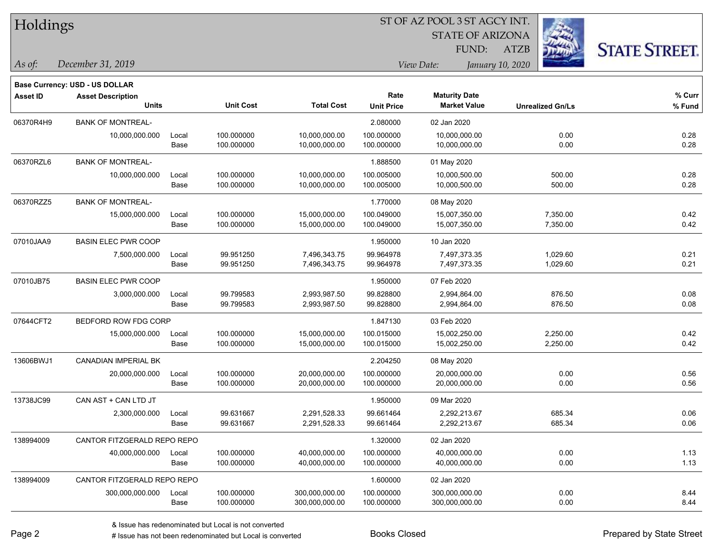|  | Holdings |
|--|----------|
|--|----------|

STATE OF ARIZONA

ATZB



*December 31, 2019 As of: View Date: January 10, 2020*

**Base Currency: USD - US DOLLAR**

FUND:

| Asset ID  | <b>Asset Description</b>    |       |                  |                   | Rate              | <b>Maturity Date</b> |                         | % Curr |
|-----------|-----------------------------|-------|------------------|-------------------|-------------------|----------------------|-------------------------|--------|
|           | <b>Units</b>                |       | <b>Unit Cost</b> | <b>Total Cost</b> | <b>Unit Price</b> | <b>Market Value</b>  | <b>Unrealized Gn/Ls</b> | % Fund |
| 06370R4H9 | <b>BANK OF MONTREAL-</b>    |       |                  |                   | 2.080000          | 02 Jan 2020          |                         |        |
|           | 10,000,000.000              | Local | 100.000000       | 10,000,000.00     | 100.000000        | 10,000,000.00        | 0.00                    | 0.28   |
|           |                             | Base  | 100.000000       | 10,000,000.00     | 100.000000        | 10,000,000.00        | 0.00                    | 0.28   |
| 06370RZL6 | <b>BANK OF MONTREAL-</b>    |       |                  |                   | 1.888500          | 01 May 2020          |                         |        |
|           | 10,000,000.000              | Local | 100.000000       | 10,000,000.00     | 100.005000        | 10,000,500.00        | 500.00                  | 0.28   |
|           |                             | Base  | 100.000000       | 10,000,000.00     | 100.005000        | 10,000,500.00        | 500.00                  | 0.28   |
| 06370RZZ5 | <b>BANK OF MONTREAL-</b>    |       |                  |                   | 1.770000          | 08 May 2020          |                         |        |
|           | 15,000,000.000              | Local | 100.000000       | 15,000,000.00     | 100.049000        | 15,007,350.00        | 7,350.00                | 0.42   |
|           |                             | Base  | 100.000000       | 15,000,000.00     | 100.049000        | 15,007,350.00        | 7,350.00                | 0.42   |
| 07010JAA9 | <b>BASIN ELEC PWR COOP</b>  |       |                  |                   | 1.950000          | 10 Jan 2020          |                         |        |
|           | 7,500,000.000               | Local | 99.951250        | 7,496,343.75      | 99.964978         | 7,497,373.35         | 1,029.60                | 0.21   |
|           |                             | Base  | 99.951250        | 7,496,343.75      | 99.964978         | 7,497,373.35         | 1,029.60                | 0.21   |
| 07010JB75 | <b>BASIN ELEC PWR COOP</b>  |       |                  |                   | 1.950000          | 07 Feb 2020          |                         |        |
|           | 3,000,000.000               | Local | 99.799583        | 2,993,987.50      | 99.828800         | 2,994,864.00         | 876.50                  | 0.08   |
|           |                             | Base  | 99.799583        | 2,993,987.50      | 99.828800         | 2,994,864.00         | 876.50                  | 0.08   |
| 07644CFT2 | BEDFORD ROW FDG CORP        |       |                  |                   | 1.847130          | 03 Feb 2020          |                         |        |
|           | 15,000,000.000              | Local | 100.000000       | 15,000,000.00     | 100.015000        | 15,002,250.00        | 2,250.00                | 0.42   |
|           |                             | Base  | 100.000000       | 15,000,000.00     | 100.015000        | 15,002,250.00        | 2,250.00                | 0.42   |
| 13606BWJ1 | <b>CANADIAN IMPERIAL BK</b> |       |                  |                   | 2.204250          | 08 May 2020          |                         |        |
|           | 20,000,000.000              | Local | 100.000000       | 20,000,000.00     | 100.000000        | 20,000,000.00        | 0.00                    | 0.56   |
|           |                             | Base  | 100.000000       | 20,000,000.00     | 100.000000        | 20,000,000.00        | 0.00                    | 0.56   |
| 13738JC99 | CAN AST + CAN LTD JT        |       |                  |                   | 1.950000          | 09 Mar 2020          |                         |        |
|           | 2,300,000.000               | Local | 99.631667        | 2,291,528.33      | 99.661464         | 2,292,213.67         | 685.34                  | 0.06   |
|           |                             | Base  | 99.631667        | 2,291,528.33      | 99.661464         | 2,292,213.67         | 685.34                  | 0.06   |
| 138994009 | CANTOR FITZGERALD REPO REPO |       |                  |                   | 1.320000          | 02 Jan 2020          |                         |        |
|           | 40,000,000.000              | Local | 100.000000       | 40,000,000.00     | 100.000000        | 40,000,000.00        | 0.00                    | 1.13   |
|           |                             | Base  | 100.000000       | 40,000,000.00     | 100.000000        | 40,000,000.00        | 0.00                    | 1.13   |
| 138994009 | CANTOR FITZGERALD REPO REPO |       |                  |                   | 1.600000          | 02 Jan 2020          |                         |        |
|           | 300,000,000.000             | Local | 100.000000       | 300,000,000.00    | 100.000000        | 300,000,000.00       | 0.00                    | 8.44   |
|           |                             | Base  | 100.000000       | 300,000,000.00    | 100.000000        | 300,000,000.00       | 0.00                    | 8.44   |

A ISSUE ISSUE ISSUE ISSUE ISSUE ISSUE ISSUE ISSUE ISSUE ISSUE ISSUE ISSUE ISSUE ISSUE ISSUE ISSUE ISSUE ISSUE I<br>
# Issue has not been redenominated but Local is converted **BOOKS** Closed **Prepared by State Street**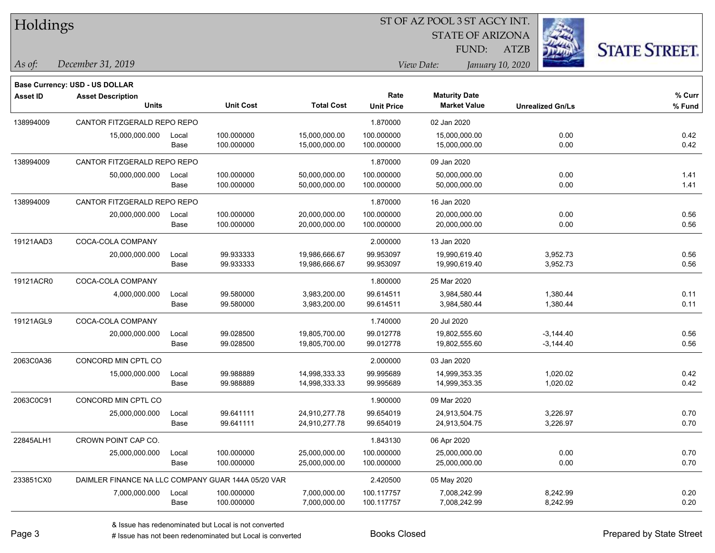|  |  | Holdings |
|--|--|----------|
|--|--|----------|

STATE OF ARIZONA

ATZB



*December 31, 2019 As of: View Date: January 10, 2020*

**Base Currency: USD - US DOLLAR**

FUND:

| <b>Asset ID</b> | <b>Asset Description</b><br><b>Units</b>           |       | <b>Unit Cost</b> | <b>Total Cost</b> | Rate<br><b>Unit Price</b> | <b>Maturity Date</b><br><b>Market Value</b> | <b>Unrealized Gn/Ls</b> | % Curr<br>% Fund |
|-----------------|----------------------------------------------------|-------|------------------|-------------------|---------------------------|---------------------------------------------|-------------------------|------------------|
| 138994009       | CANTOR FITZGERALD REPO REPO                        |       |                  |                   | 1.870000                  | 02 Jan 2020                                 |                         |                  |
|                 | 15,000,000.000                                     | Local | 100.000000       | 15,000,000.00     | 100.000000                | 15,000,000.00                               | 0.00                    | 0.42             |
|                 |                                                    | Base  | 100.000000       | 15,000,000.00     | 100.000000                | 15,000,000.00                               | 0.00                    | 0.42             |
| 138994009       | CANTOR FITZGERALD REPO REPO                        |       |                  |                   | 1.870000                  | 09 Jan 2020                                 |                         |                  |
|                 | 50,000,000.000                                     | Local | 100.000000       | 50,000,000.00     | 100.000000                | 50,000,000.00                               | 0.00                    | 1.41             |
|                 |                                                    | Base  | 100.000000       | 50,000,000.00     | 100.000000                | 50,000,000.00                               | 0.00                    | 1.41             |
| 138994009       | CANTOR FITZGERALD REPO REPO                        |       |                  |                   | 1.870000                  | 16 Jan 2020                                 |                         |                  |
|                 | 20,000,000.000                                     | Local | 100.000000       | 20,000,000.00     | 100.000000                | 20,000,000.00                               | 0.00                    | 0.56             |
|                 |                                                    | Base  | 100.000000       | 20,000,000.00     | 100.000000                | 20,000,000.00                               | 0.00                    | 0.56             |
| 19121AAD3       | COCA-COLA COMPANY                                  |       |                  |                   | 2.000000                  | 13 Jan 2020                                 |                         |                  |
|                 | 20,000,000.000                                     | Local | 99.933333        | 19,986,666.67     | 99.953097                 | 19,990,619.40                               | 3,952.73                | 0.56             |
|                 |                                                    | Base  | 99.933333        | 19,986,666.67     | 99.953097                 | 19,990,619.40                               | 3,952.73                | 0.56             |
| 19121ACR0       | COCA-COLA COMPANY                                  |       |                  |                   | 1.800000                  | 25 Mar 2020                                 |                         |                  |
|                 | 4,000,000.000                                      | Local | 99.580000        | 3,983,200.00      | 99.614511                 | 3,984,580.44                                | 1,380.44                | 0.11             |
|                 |                                                    | Base  | 99.580000        | 3,983,200.00      | 99.614511                 | 3,984,580.44                                | 1,380.44                | 0.11             |
| 19121AGL9       | COCA-COLA COMPANY                                  |       |                  |                   | 1.740000                  | 20 Jul 2020                                 |                         |                  |
|                 | 20,000,000.000                                     | Local | 99.028500        | 19,805,700.00     | 99.012778                 | 19,802,555.60                               | $-3,144.40$             | 0.56             |
|                 |                                                    | Base  | 99.028500        | 19,805,700.00     | 99.012778                 | 19,802,555.60                               | $-3,144.40$             | 0.56             |
| 2063C0A36       | CONCORD MIN CPTL CO                                |       |                  |                   | 2.000000                  | 03 Jan 2020                                 |                         |                  |
|                 | 15,000,000.000                                     | Local | 99.988889        | 14,998,333.33     | 99.995689                 | 14,999,353.35                               | 1,020.02                | 0.42             |
|                 |                                                    | Base  | 99.988889        | 14,998,333.33     | 99.995689                 | 14,999,353.35                               | 1,020.02                | 0.42             |
| 2063C0C91       | CONCORD MIN CPTL CO                                |       |                  |                   | 1.900000                  | 09 Mar 2020                                 |                         |                  |
|                 | 25,000,000.000                                     | Local | 99.641111        | 24,910,277.78     | 99.654019                 | 24,913,504.75                               | 3,226.97                | 0.70             |
|                 |                                                    | Base  | 99.641111        | 24,910,277.78     | 99.654019                 | 24,913,504.75                               | 3,226.97                | 0.70             |
| 22845ALH1       | CROWN POINT CAP CO.                                |       |                  |                   | 1.843130                  | 06 Apr 2020                                 |                         |                  |
|                 | 25,000,000.000                                     | Local | 100.000000       | 25,000,000.00     | 100.000000                | 25,000,000.00                               | 0.00                    | 0.70             |
|                 |                                                    | Base  | 100.000000       | 25,000,000.00     | 100.000000                | 25,000,000.00                               | 0.00                    | 0.70             |
| 233851CX0       | DAIMLER FINANCE NA LLC COMPANY GUAR 144A 05/20 VAR |       |                  |                   | 2.420500                  | 05 May 2020                                 |                         |                  |
|                 | 7,000,000.000                                      | Local | 100.000000       | 7,000,000.00      | 100.117757                | 7,008,242.99                                | 8,242.99                | 0.20             |
|                 |                                                    | Base  | 100.000000       | 7,000,000.00      | 100.117757                | 7,008,242.99                                | 8,242.99                | 0.20             |

A ISSUE ISSUE ISSUE ISSUE ISSUE ISSUE ISSUE ISSUE ISSUE ISSUE ISSUE ISSUE ISSUE ISSUE ISSUE ISSUE ISSUE ISSUE I<br>
# Issue has not been redenominated but Local is converted **BOOKS** Closed **Prepared by State Street**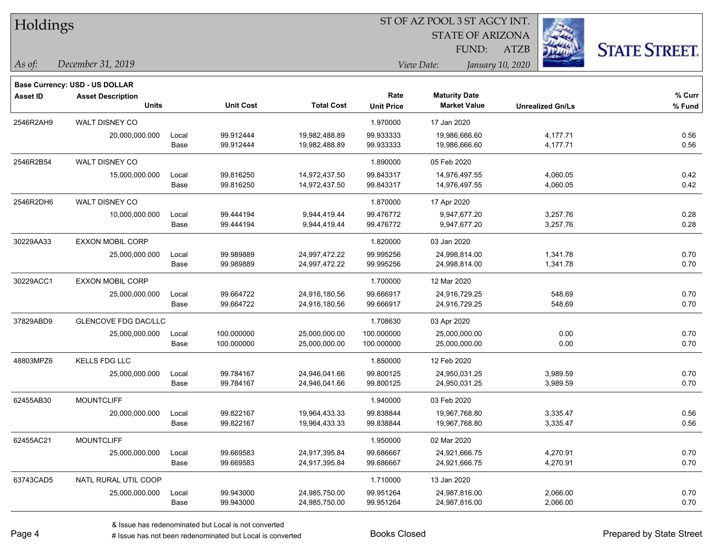| Holdings |  |
|----------|--|
|----------|--|

STATE OF ARIZONA

ATZB



*December 31, 2019 As of: View Date: January 10, 2020*

**Base Currency: USD - US DOLLAR**

| Asset ID  | <b>Asset Description</b>    |             |                  |                   | Rate              | <b>Maturity Date</b> |                         | % Curr |
|-----------|-----------------------------|-------------|------------------|-------------------|-------------------|----------------------|-------------------------|--------|
|           | <b>Units</b>                |             | <b>Unit Cost</b> | <b>Total Cost</b> | <b>Unit Price</b> | <b>Market Value</b>  | <b>Unrealized Gn/Ls</b> | % Fund |
| 2546R2AH9 | WALT DISNEY CO              |             |                  |                   | 1.970000          | 17 Jan 2020          |                         |        |
|           | 20,000,000.000              | Local       | 99.912444        | 19,982,488.89     | 99.933333         | 19,986,666.60        | 4,177.71                | 0.56   |
|           |                             | <b>Base</b> | 99.912444        | 19,982,488.89     | 99.933333         | 19,986,666.60        | 4,177.71                | 0.56   |
| 2546R2B54 | <b>WALT DISNEY CO</b>       |             |                  |                   | 1.890000          | 05 Feb 2020          |                         |        |
|           | 15,000,000.000              | Local       | 99.816250        | 14,972,437.50     | 99.843317         | 14,976,497.55        | 4,060.05                | 0.42   |
|           |                             | Base        | 99.816250        | 14,972,437.50     | 99.843317         | 14,976,497.55        | 4,060.05                | 0.42   |
| 2546R2DH6 | WALT DISNEY CO              |             |                  |                   | 1.870000          | 17 Apr 2020          |                         |        |
|           | 10,000,000.000              | Local       | 99.444194        | 9,944,419.44      | 99.476772         | 9,947,677.20         | 3,257.76                | 0.28   |
|           |                             | Base        | 99.444194        | 9,944,419.44      | 99.476772         | 9,947,677.20         | 3,257.76                | 0.28   |
| 30229AA33 | <b>EXXON MOBIL CORP</b>     |             |                  |                   | 1.820000          | 03 Jan 2020          |                         |        |
|           | 25,000,000.000              | Local       | 99.989889        | 24,997,472.22     | 99.995256         | 24,998,814.00        | 1,341.78                | 0.70   |
|           |                             | Base        | 99.989889        | 24,997,472.22     | 99.995256         | 24,998,814.00        | 1,341.78                | 0.70   |
| 30229ACC1 | <b>EXXON MOBIL CORP</b>     |             |                  |                   | 1.700000          | 12 Mar 2020          |                         |        |
|           | 25,000,000.000              | Local       | 99.664722        | 24,916,180.56     | 99.666917         | 24,916,729.25        | 548.69                  | 0.70   |
|           |                             | Base        | 99.664722        | 24,916,180.56     | 99.666917         | 24,916,729.25        | 548.69                  | 0.70   |
| 37829ABD9 | <b>GLENCOVE FDG DAC/LLC</b> |             |                  |                   | 1.708630          | 03 Apr 2020          |                         |        |
|           | 25,000,000.000              | Local       | 100.000000       | 25,000,000.00     | 100.000000        | 25,000,000.00        | 0.00                    | 0.70   |
|           |                             | Base        | 100.000000       | 25,000,000.00     | 100.000000        | 25,000,000.00        | 0.00                    | 0.70   |
| 48803MPZ6 | <b>KELLS FDG LLC</b>        |             |                  |                   | 1.850000          | 12 Feb 2020          |                         |        |
|           | 25,000,000.000              | Local       | 99.784167        | 24,946,041.66     | 99.800125         | 24,950,031.25        | 3,989.59                | 0.70   |
|           |                             | Base        | 99.784167        | 24,946,041.66     | 99.800125         | 24,950,031.25        | 3,989.59                | 0.70   |
| 62455AB30 | <b>MOUNTCLIFF</b>           |             |                  |                   | 1.940000          | 03 Feb 2020          |                         |        |
|           | 20,000,000.000              | Local       | 99.822167        | 19,964,433.33     | 99.838844         | 19,967,768.80        | 3,335.47                | 0.56   |
|           |                             | Base        | 99.822167        | 19,964,433.33     | 99.838844         | 19,967,768.80        | 3,335.47                | 0.56   |
| 62455AC21 | <b>MOUNTCLIFF</b>           |             |                  |                   | 1.950000          | 02 Mar 2020          |                         |        |
|           | 25,000,000.000              | Local       | 99.669583        | 24,917,395.84     | 99.686667         | 24,921,666.75        | 4,270.91                | 0.70   |
|           |                             | Base        | 99.669583        | 24,917,395.84     | 99.686667         | 24,921,666.75        | 4,270.91                | 0.70   |
| 63743CAD5 | NATL RURAL UTIL COOP        |             |                  |                   | 1.710000          | 13 Jan 2020          |                         |        |
|           | 25,000,000.000              | Local       | 99.943000        | 24,985,750.00     | 99.951264         | 24,987,816.00        | 2,066.00                | 0.70   |
|           |                             | Base        | 99.943000        | 24,985,750.00     | 99.951264         | 24,987,816.00        | 2,066.00                | 0.70   |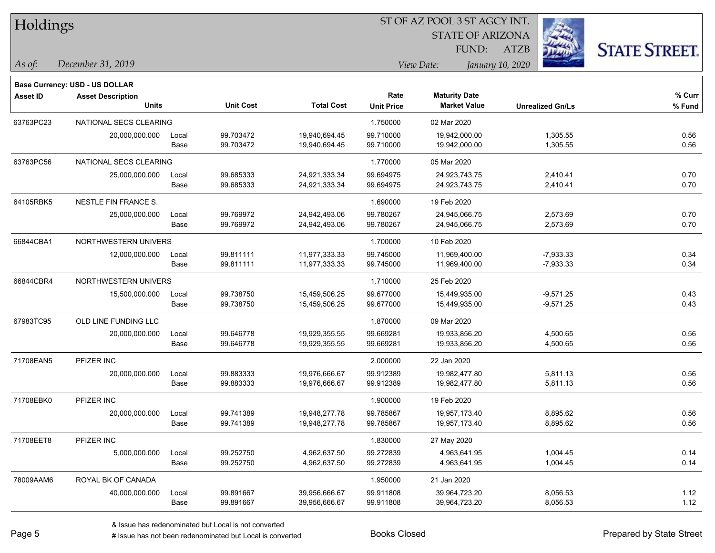| Holdings        |                                |                      |                  |                   | ST OF AZ POOL 3 ST AGCY INT. |                         |                         |                      |  |  |
|-----------------|--------------------------------|----------------------|------------------|-------------------|------------------------------|-------------------------|-------------------------|----------------------|--|--|
|                 |                                |                      |                  |                   |                              | <b>STATE OF ARIZONA</b> |                         |                      |  |  |
|                 |                                |                      |                  |                   |                              | FUND:                   | <b>ATZB</b>             | <b>STATE STREET.</b> |  |  |
| As of:          | December 31, 2019              |                      |                  |                   |                              | View Date:              | January 10, 2020        |                      |  |  |
|                 | Base Currency: USD - US DOLLAR |                      |                  |                   |                              |                         |                         |                      |  |  |
| <b>Asset ID</b> | <b>Asset Description</b>       |                      |                  |                   | Rate                         | <b>Maturity Date</b>    |                         | % Curr               |  |  |
|                 | <b>Units</b>                   |                      | <b>Unit Cost</b> | <b>Total Cost</b> | <b>Unit Price</b>            | <b>Market Value</b>     | <b>Unrealized Gn/Ls</b> | % Fund               |  |  |
| 63763PC23       | NATIONAL SECS CLEARING         |                      |                  |                   | 1.750000                     | 02 Mar 2020             |                         |                      |  |  |
|                 | 20,000,000.000                 | Local                | 99.703472        | 19,940,694.45     | 99.710000                    | 19,942,000.00           | 1,305.55                | 0.56                 |  |  |
|                 |                                | Base                 | 99.703472        | 19,940,694.45     | 99.710000                    | 19,942,000.00           | 1,305.55                | 0.56                 |  |  |
| 63763PC56       | NATIONAL SECS CLEARING         |                      |                  |                   | 1.770000                     | 05 Mar 2020             |                         |                      |  |  |
|                 | 25,000,000.000                 | Local                | 99.685333        | 24,921,333.34     | 99.694975                    | 24,923,743.75           | 2,410.41                | 0.70                 |  |  |
|                 |                                | Base                 | 99.685333        | 24,921,333.34     | 99.694975                    | 24,923,743.75           | 2,410.41                | 0.70                 |  |  |
| 64105RBK5       | NESTLE FIN FRANCE S.           |                      |                  |                   | 1.690000                     | 19 Feb 2020             |                         |                      |  |  |
|                 | 25,000,000.000                 | Local                | 99.769972        | 24,942,493.06     | 99.780267                    | 24,945,066.75           | 2,573.69                | 0.70                 |  |  |
|                 |                                | Base                 | 99.769972        | 24,942,493.06     | 99.780267                    | 24,945,066.75           | 2,573.69                | 0.70                 |  |  |
| 66844CBA1       | NORTHWESTERN UNIVERS           |                      |                  |                   | 1.700000                     | 10 Feb 2020             |                         |                      |  |  |
|                 | 12,000,000.000                 | Local                | 99.811111        | 11,977,333.33     | 99.745000                    | 11,969,400.00           | $-7,933.33$             | 0.34                 |  |  |
|                 |                                | Base                 | 99.811111        | 11,977,333.33     | 99.745000                    | 11,969,400.00           | $-7,933.33$             | 0.34                 |  |  |
| 66844CBR4       |                                | NORTHWESTERN UNIVERS |                  |                   | 1.710000                     | 25 Feb 2020             |                         |                      |  |  |
|                 | 15,500,000.000                 | Local                | 99.738750        | 15,459,506.25     | 99.677000                    | 15,449,935.00           | $-9,571.25$             | 0.43                 |  |  |
|                 |                                | Base                 | 99.738750        | 15,459,506.25     | 99.677000                    | 15,449,935.00           | $-9,571.25$             | 0.43                 |  |  |
| 67983TC95       | OLD LINE FUNDING LLC           |                      |                  |                   | 1.870000                     | 09 Mar 2020             |                         |                      |  |  |
|                 | 20,000,000.000                 | Local                | 99.646778        | 19,929,355.55     | 99.669281                    | 19,933,856.20           | 4,500.65                | 0.56                 |  |  |
|                 |                                | Base                 | 99.646778        | 19,929,355.55     | 99.669281                    | 19,933,856.20           | 4,500.65                | 0.56                 |  |  |
| 71708EAN5       | PFIZER INC                     |                      |                  |                   | 2.000000                     | 22 Jan 2020             |                         |                      |  |  |
|                 | 20,000,000.000                 | Local                | 99.883333        | 19,976,666.67     | 99.912389                    | 19,982,477.80           | 5,811.13                | 0.56                 |  |  |
|                 |                                | Base                 | 99.883333        | 19,976,666.67     | 99.912389                    | 19,982,477.80           | 5,811.13                | 0.56                 |  |  |
| 71708EBK0       | PFIZER INC                     |                      |                  |                   | 1.900000                     | 19 Feb 2020             |                         |                      |  |  |
|                 | 20,000,000.000                 | Local                | 99.741389        | 19,948,277.78     | 99.785867                    | 19,957,173.40           | 8,895.62                | 0.56                 |  |  |
|                 |                                | Base                 | 99.741389        | 19,948,277.78     | 99.785867                    | 19,957,173.40           | 8,895.62                | 0.56                 |  |  |
| 71708EET8       | PFIZER INC                     |                      |                  |                   | 1.830000                     | 27 May 2020             |                         |                      |  |  |
|                 | 5,000,000.000                  | Local                | 99.252750        | 4,962,637.50      | 99.272839                    | 4,963,641.95            | 1,004.45                | 0.14                 |  |  |
|                 |                                | Base                 | 99.252750        | 4,962,637.50      | 99.272839                    | 4,963,641.95            | 1,004.45                | 0.14                 |  |  |
| 78009AAM6       | ROYAL BK OF CANADA             |                      |                  |                   | 1.950000                     | 21 Jan 2020             |                         |                      |  |  |
|                 | 40,000,000.000                 | Local                | 99.891667        | 39,956,666.67     | 99.911808                    | 39,964,723.20           | 8,056.53                | 1.12                 |  |  |
|                 |                                | Base                 | 99.891667        | 39,956,666.67     | 99.911808                    | 39,964,723.20           | 8,056.53                | 1.12                 |  |  |

 $\overline{\phantom{0}}$ 

 $\overline{\phantom{0}}$ 

 $\overline{\phantom{0}}$ 

 $\overline{\phantom{0}}$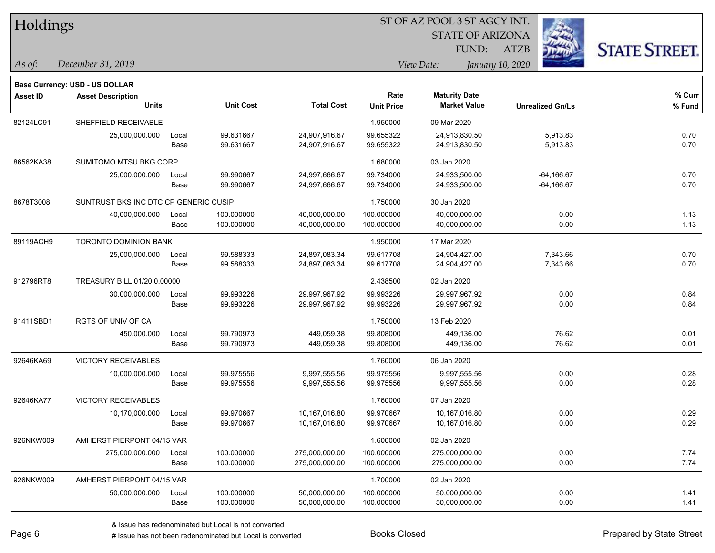| Holdings        |                                                                   |       |                  |                   |                   |                         |                         |                      |
|-----------------|-------------------------------------------------------------------|-------|------------------|-------------------|-------------------|-------------------------|-------------------------|----------------------|
|                 |                                                                   |       |                  |                   |                   | <b>STATE OF ARIZONA</b> |                         |                      |
|                 |                                                                   |       |                  |                   |                   | FUND:                   | <b>ATZB</b>             | <b>STATE STREET.</b> |
| $\vert$ As of:  | December 31, 2019                                                 |       |                  |                   |                   | View Date:              | January 10, 2020        |                      |
|                 |                                                                   |       |                  |                   |                   |                         |                         |                      |
| <b>Asset ID</b> | <b>Base Currency: USD - US DOLLAR</b><br><b>Asset Description</b> |       |                  |                   | Rate              | <b>Maturity Date</b>    |                         | $%$ Curr             |
|                 | <b>Units</b>                                                      |       | <b>Unit Cost</b> | <b>Total Cost</b> | <b>Unit Price</b> | <b>Market Value</b>     | <b>Unrealized Gn/Ls</b> | % Fund               |
| 82124LC91       | SHEFFIELD RECEIVABLE                                              |       |                  |                   | 1.950000          | 09 Mar 2020             |                         |                      |
|                 | 25,000,000.000                                                    | Local | 99.631667        | 24,907,916.67     | 99.655322         | 24,913,830.50           | 5,913.83                | 0.70                 |
|                 |                                                                   | Base  | 99.631667        | 24,907,916.67     | 99.655322         | 24,913,830.50           | 5,913.83                | 0.70                 |
| 86562KA38       | SUMITOMO MTSU BKG CORP                                            |       |                  |                   | 1.680000          | 03 Jan 2020             |                         |                      |
|                 | 25,000,000.000                                                    | Local | 99.990667        | 24,997,666.67     | 99.734000         | 24,933,500.00           | $-64,166.67$            | 0.70                 |
|                 |                                                                   | Base  | 99.990667        | 24,997,666.67     | 99.734000         | 24,933,500.00           | $-64,166.67$            | 0.70                 |
| 8678T3008       | SUNTRUST BKS INC DTC CP GENERIC CUSIP                             |       |                  |                   | 1.750000          | 30 Jan 2020             |                         |                      |
|                 | 40,000,000.000                                                    | Local | 100.000000       | 40,000,000.00     | 100.000000        | 40,000,000.00           | 0.00                    | 1.13                 |
|                 |                                                                   | Base  | 100.000000       | 40,000,000.00     | 100.000000        | 40,000,000.00           | 0.00                    | 1.13                 |
| 89119ACH9       | <b>TORONTO DOMINION BANK</b>                                      |       |                  |                   | 1.950000          | 17 Mar 2020             |                         |                      |
|                 | 25,000,000.000                                                    | Local | 99.588333        | 24,897,083.34     | 99.617708         | 24,904,427.00           | 7,343.66                | 0.70                 |
|                 |                                                                   | Base  | 99.588333        | 24,897,083.34     | 99.617708         | 24,904,427.00           | 7,343.66                | 0.70                 |
| 912796RT8       | TREASURY BILL 01/20 0.00000                                       |       |                  |                   | 2.438500          | 02 Jan 2020             |                         |                      |
|                 | 30,000,000.000                                                    | Local | 99.993226        | 29,997,967.92     | 99.993226         | 29,997,967.92           | 0.00                    | 0.84                 |
|                 |                                                                   | Base  | 99.993226        | 29,997,967.92     | 99.993226         | 29,997,967.92           | 0.00                    | 0.84                 |
| 91411SBD1       | <b>RGTS OF UNIV OF CA</b>                                         |       |                  |                   | 1.750000          | 13 Feb 2020             |                         |                      |
|                 | 450,000.000                                                       | Local | 99.790973        | 449,059.38        | 99.808000         | 449,136.00              | 76.62                   | 0.01                 |
|                 |                                                                   | Base  | 99.790973        | 449,059.38        | 99.808000         | 449,136.00              | 76.62                   | 0.01                 |
| 92646KA69       | VICTORY RECEIVABLES                                               |       |                  |                   | 1.760000          | 06 Jan 2020             |                         |                      |
|                 | 10,000,000.000                                                    | Local | 99.975556        | 9,997,555.56      | 99.975556         | 9,997,555.56            | 0.00                    | 0.28                 |
|                 |                                                                   | Base  | 99.975556        | 9,997,555.56      | 99.975556         | 9,997,555.56            | 0.00                    | 0.28                 |
| 92646KA77       | <b>VICTORY RECEIVABLES</b>                                        |       |                  |                   | 1.760000          | 07 Jan 2020             |                         |                      |
|                 | 10,170,000.000                                                    | Local | 99.970667        | 10,167,016.80     | 99.970667         | 10,167,016.80           | 0.00                    | 0.29                 |
|                 |                                                                   | Base  | 99.970667        | 10,167,016.80     | 99.970667         | 10,167,016.80           | 0.00                    | 0.29                 |
| 926NKW009       | AMHERST PIERPONT 04/15 VAR                                        |       |                  |                   | 1.600000          | 02 Jan 2020             |                         |                      |
|                 | 275,000,000.000                                                   | Local | 100.000000       | 275,000,000.00    | 100.000000        | 275,000,000.00          | 0.00                    | 7.74                 |
|                 |                                                                   | Base  | 100.000000       | 275,000,000.00    | 100.000000        | 275,000,000.00          | 0.00                    | 7.74                 |
| 926NKW009       | AMHERST PIERPONT 04/15 VAR                                        |       |                  |                   | 1.700000          | 02 Jan 2020             |                         |                      |
|                 | 50,000,000.000                                                    | Local | 100.000000       | 50,000,000.00     | 100.000000        | 50,000,000.00           | 0.00                    | 1.41                 |
|                 |                                                                   | Base  | 100.000000       | 50,000,000.00     | 100.000000        | 50,000,000.00           | 0.00                    | 1.41                 |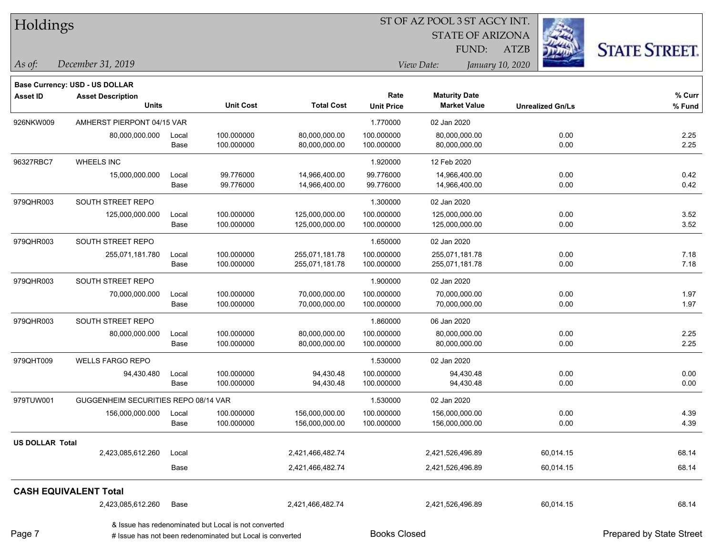#### ST OF AZ POOL 3 ST AGCY INT.

STATE OF ARIZONA

ATZB



*December 31, 2019 As of: View Date: January 10, 2020*

**Base Currency: USD - US DOLLAR**

FUND:

| <b>Asset ID</b>        | <b>Asset Description</b>             |       |                  |                   | Rate              | <b>Maturity Date</b> |                         | % Curr |
|------------------------|--------------------------------------|-------|------------------|-------------------|-------------------|----------------------|-------------------------|--------|
|                        | <b>Units</b>                         |       | <b>Unit Cost</b> | <b>Total Cost</b> | <b>Unit Price</b> | <b>Market Value</b>  | <b>Unrealized Gn/Ls</b> | % Fund |
| 926NKW009              | AMHERST PIERPONT 04/15 VAR           |       |                  |                   | 1.770000          | 02 Jan 2020          |                         |        |
|                        | 80,000,000.000                       | Local | 100.000000       | 80,000,000.00     | 100.000000        | 80,000,000.00        | 0.00                    | 2.25   |
|                        |                                      | Base  | 100.000000       | 80,000,000.00     | 100.000000        | 80,000,000.00        | 0.00                    | 2.25   |
| 96327RBC7              | <b>WHEELS INC</b>                    |       |                  |                   | 1.920000          | 12 Feb 2020          |                         |        |
|                        | 15,000,000.000                       | Local | 99.776000        | 14,966,400.00     | 99.776000         | 14,966,400.00        | 0.00                    | 0.42   |
|                        |                                      | Base  | 99.776000        | 14,966,400.00     | 99.776000         | 14,966,400.00        | 0.00                    | 0.42   |
| 979QHR003              | SOUTH STREET REPO                    |       |                  |                   | 1.300000          | 02 Jan 2020          |                         |        |
|                        | 125,000,000.000                      | Local | 100.000000       | 125,000,000.00    | 100.000000        | 125,000,000.00       | 0.00                    | 3.52   |
|                        |                                      | Base  | 100.000000       | 125,000,000.00    | 100.000000        | 125,000,000.00       | 0.00                    | 3.52   |
| 979QHR003              | SOUTH STREET REPO                    |       |                  |                   | 1.650000          | 02 Jan 2020          |                         |        |
|                        | 255,071,181.780                      | Local | 100.000000       | 255,071,181.78    | 100.000000        | 255,071,181.78       | 0.00                    | 7.18   |
|                        |                                      | Base  | 100.000000       | 255,071,181.78    | 100.000000        | 255,071,181.78       | 0.00                    | 7.18   |
| 979QHR003              | SOUTH STREET REPO                    |       |                  |                   | 1.900000          | 02 Jan 2020          |                         |        |
|                        | 70,000,000.000                       | Local | 100.000000       | 70,000,000.00     | 100.000000        | 70,000,000.00        | 0.00                    | 1.97   |
|                        |                                      | Base  | 100.000000       | 70,000,000.00     | 100.000000        | 70,000,000.00        | 0.00                    | 1.97   |
| 979QHR003              | SOUTH STREET REPO                    |       |                  |                   | 1.860000          | 06 Jan 2020          |                         |        |
|                        | 80,000,000.000                       | Local | 100.000000       | 80,000,000.00     | 100.000000        | 80,000,000.00        | 0.00                    | 2.25   |
|                        |                                      | Base  | 100.000000       | 80,000,000.00     | 100.000000        | 80,000,000.00        | 0.00                    | 2.25   |
| 979QHT009              | <b>WELLS FARGO REPO</b>              |       |                  |                   | 1.530000          | 02 Jan 2020          |                         |        |
|                        | 94,430.480                           | Local | 100.000000       | 94,430.48         | 100.000000        | 94,430.48            | 0.00                    | 0.00   |
|                        |                                      | Base  | 100.000000       | 94,430.48         | 100.000000        | 94,430.48            | 0.00                    | 0.00   |
| 979TUW001              | GUGGENHEIM SECURITIES REPO 08/14 VAR |       |                  |                   | 1.530000          | 02 Jan 2020          |                         |        |
|                        | 156,000,000.000                      | Local | 100.000000       | 156,000,000.00    | 100.000000        | 156,000,000.00       | 0.00                    | 4.39   |
|                        |                                      | Base  | 100.000000       | 156,000,000.00    | 100.000000        | 156,000,000.00       | 0.00                    | 4.39   |
| <b>US DOLLAR Total</b> |                                      |       |                  |                   |                   |                      |                         |        |
|                        | 2,423,085,612.260                    | Local |                  | 2,421,466,482.74  |                   | 2,421,526,496.89     | 60,014.15               | 68.14  |
|                        |                                      | Base  |                  | 2,421,466,482.74  |                   | 2,421,526,496.89     | 60,014.15               | 68.14  |
|                        | <b>CASH EQUIVALENT Total</b>         |       |                  |                   |                   |                      |                         |        |
|                        | 2,423,085,612.260                    | Base  |                  | 2,421,466,482.74  |                   | 2,421,526,496.89     | 60,014.15               | 68.14  |
|                        |                                      |       |                  |                   |                   |                      |                         |        |

& Issue has redenominated but Local is not converted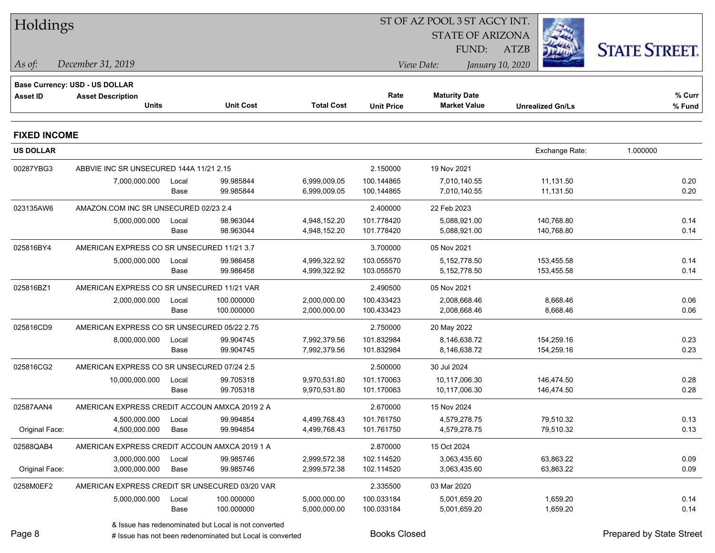| Holdings            |                                                |       | ST OF AZ POOL 3 ST AGCY INT.                              |                   |                     |                         |                         |                          |  |  |  |
|---------------------|------------------------------------------------|-------|-----------------------------------------------------------|-------------------|---------------------|-------------------------|-------------------------|--------------------------|--|--|--|
|                     |                                                |       |                                                           |                   |                     | <b>STATE OF ARIZONA</b> |                         |                          |  |  |  |
|                     |                                                |       |                                                           |                   |                     | FUND:                   | <b>ATZB</b>             | <b>STATE STREET.</b>     |  |  |  |
| $\vert$ As of:      | December 31, 2019                              |       |                                                           |                   |                     | View Date:              | January 10, 2020        |                          |  |  |  |
|                     | <b>Base Currency: USD - US DOLLAR</b>          |       |                                                           |                   |                     |                         |                         |                          |  |  |  |
| <b>Asset ID</b>     | <b>Asset Description</b>                       |       |                                                           |                   | Rate                | <b>Maturity Date</b>    |                         | % Curr                   |  |  |  |
|                     | <b>Units</b>                                   |       | <b>Unit Cost</b>                                          | <b>Total Cost</b> | <b>Unit Price</b>   | <b>Market Value</b>     | <b>Unrealized Gn/Ls</b> | % Fund                   |  |  |  |
| <b>FIXED INCOME</b> |                                                |       |                                                           |                   |                     |                         |                         |                          |  |  |  |
| <b>US DOLLAR</b>    |                                                |       |                                                           |                   |                     |                         | Exchange Rate:          | 1.000000                 |  |  |  |
| 00287YBG3           | ABBVIE INC SR UNSECURED 144A 11/21 2.15        |       |                                                           |                   | 2.150000            | 19 Nov 2021             |                         |                          |  |  |  |
|                     | 7,000,000.000                                  | Local | 99.985844                                                 | 6,999,009.05      | 100.144865          | 7,010,140.55            | 11,131.50               | 0.20                     |  |  |  |
|                     |                                                | Base  | 99.985844                                                 | 6,999,009.05      | 100.144865          | 7,010,140.55            | 11,131.50               | 0.20                     |  |  |  |
| 023135AW6           | AMAZON.COM INC SR UNSECURED 02/23 2.4          |       |                                                           |                   | 2.400000            | 22 Feb 2023             |                         |                          |  |  |  |
|                     | 5,000,000.000                                  | Local | 98.963044                                                 | 4,948,152.20      | 101.778420          | 5,088,921.00            | 140,768.80              | 0.14                     |  |  |  |
|                     |                                                | Base  | 98.963044                                                 | 4,948,152.20      | 101.778420          | 5,088,921.00            | 140,768.80              | 0.14                     |  |  |  |
| 025816BY4           | AMERICAN EXPRESS CO SR UNSECURED 11/21 3.7     |       |                                                           |                   | 3.700000            | 05 Nov 2021             |                         |                          |  |  |  |
|                     | 5,000,000.000                                  | Local | 99.986458                                                 | 4,999,322.92      | 103.055570          | 5,152,778.50            | 153,455.58              | 0.14                     |  |  |  |
|                     |                                                | Base  | 99.986458                                                 | 4,999,322.92      | 103.055570          | 5,152,778.50            | 153,455.58              | 0.14                     |  |  |  |
| 025816BZ1           | AMERICAN EXPRESS CO SR UNSECURED 11/21 VAR     |       |                                                           |                   | 2.490500            | 05 Nov 2021             |                         |                          |  |  |  |
|                     | 2,000,000.000                                  | Local | 100.000000                                                | 2,000,000.00      | 100.433423          | 2,008,668.46            | 8,668.46                | 0.06                     |  |  |  |
|                     |                                                | Base  | 100.000000                                                | 2,000,000.00      | 100.433423          | 2,008,668.46            | 8,668.46                | 0.06                     |  |  |  |
| 025816CD9           | AMERICAN EXPRESS CO SR UNSECURED 05/22 2.75    |       |                                                           |                   | 2.750000            | 20 May 2022             |                         |                          |  |  |  |
|                     | 8,000,000.000                                  | Local | 99.904745                                                 | 7,992,379.56      | 101.832984          | 8,146,638.72            | 154,259.16              | 0.23                     |  |  |  |
|                     |                                                | Base  | 99.904745                                                 | 7,992,379.56      | 101.832984          | 8,146,638.72            | 154,259.16              | 0.23                     |  |  |  |
| 025816CG2           | AMERICAN EXPRESS CO SR UNSECURED 07/24 2.5     |       |                                                           |                   | 2.500000            | 30 Jul 2024             |                         |                          |  |  |  |
|                     | 10,000,000.000                                 | Local | 99.705318                                                 | 9,970,531.80      | 101.170063          | 10,117,006.30           | 146,474.50              | 0.28                     |  |  |  |
|                     |                                                | Base  | 99.705318                                                 | 9,970,531.80      | 101.170063          | 10,117,006.30           | 146,474.50              | 0.28                     |  |  |  |
| 02587AAN4           | AMERICAN EXPRESS CREDIT ACCOUN AMXCA 2019 2 A  |       |                                                           |                   | 2.670000            | 15 Nov 2024             |                         |                          |  |  |  |
|                     | 4,500,000.000 Local                            |       | 99.994854                                                 | 4,499,768.43      | 101.761750          | 4,579,278.75            | 79,510.32               | 0.13                     |  |  |  |
| Original Face:      | 4,500,000.000                                  | Base  | 99.994854                                                 | 4,499,768.43      | 101.761750          | 4,579,278.75            | 79,510.32               | 0.13                     |  |  |  |
| 02588QAB4           | AMERICAN EXPRESS CREDIT ACCOUN AMXCA 2019 1 A  |       |                                                           |                   | 2.870000            | 15 Oct 2024             |                         |                          |  |  |  |
|                     | 3,000,000.000                                  | Local | 99.985746                                                 | 2,999,572.38      | 102.114520          | 3,063,435.60            | 63,863.22               | 0.09                     |  |  |  |
| Original Face:      | 3,000,000.000                                  | Base  | 99.985746                                                 | 2,999,572.38      | 102.114520          | 3,063,435.60            | 63,863.22               | 0.09                     |  |  |  |
| 0258M0EF2           | AMERICAN EXPRESS CREDIT SR UNSECURED 03/20 VAR |       |                                                           |                   | 2.335500            | 03 Mar 2020             |                         |                          |  |  |  |
|                     | 5,000,000.000                                  | Local | 100.000000                                                | 5,000,000.00      | 100.033184          | 5,001,659.20            | 1,659.20                | 0.14                     |  |  |  |
|                     |                                                | Base  | 100.000000                                                | 5,000,000.00      | 100.033184          | 5,001,659.20            | 1,659.20                | 0.14                     |  |  |  |
|                     |                                                |       | & Issue has redenominated but Local is not converted      |                   |                     |                         |                         |                          |  |  |  |
| Page 8              |                                                |       | # Issue has not been redenominated but Local is converted |                   | <b>Books Closed</b> |                         |                         | Prepared by State Street |  |  |  |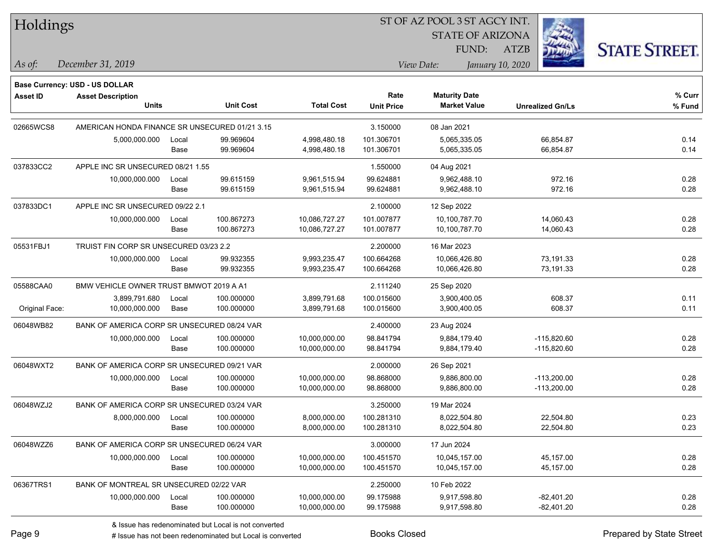Page 9

#### ST OF AZ POOL 3 ST AGCY INT.

STATE OF ARIZONA

ATZB



*December 31, 2019 As of: View Date: January 10, 2020*

**Base Currency: USD - US DOLLAR**

FUND:

| Asset ID       | <b>Asset Description</b>                       |       |                  |                   | Rate              | <b>Maturity Date</b> |                         | % Curr |
|----------------|------------------------------------------------|-------|------------------|-------------------|-------------------|----------------------|-------------------------|--------|
|                | <b>Units</b>                                   |       | <b>Unit Cost</b> | <b>Total Cost</b> | <b>Unit Price</b> | <b>Market Value</b>  | <b>Unrealized Gn/Ls</b> | % Fund |
| 02665WCS8      | AMERICAN HONDA FINANCE SR UNSECURED 01/21 3.15 |       |                  |                   | 3.150000          | 08 Jan 2021          |                         |        |
|                | 5,000,000.000                                  | Local | 99.969604        | 4,998,480.18      | 101.306701        | 5,065,335.05         | 66,854.87               | 0.14   |
|                |                                                | Base  | 99.969604        | 4,998,480.18      | 101.306701        | 5,065,335.05         | 66,854.87               | 0.14   |
| 037833CC2      | APPLE INC SR UNSECURED 08/21 1.55              |       |                  |                   | 1.550000          | 04 Aug 2021          |                         |        |
|                | 10,000,000.000                                 | Local | 99.615159        | 9,961,515.94      | 99.624881         | 9,962,488.10         | 972.16                  | 0.28   |
|                |                                                | Base  | 99.615159        | 9,961,515.94      | 99.624881         | 9,962,488.10         | 972.16                  | 0.28   |
| 037833DC1      | APPLE INC SR UNSECURED 09/22 2.1               |       |                  |                   | 2.100000          | 12 Sep 2022          |                         |        |
|                | 10,000,000.000                                 | Local | 100.867273       | 10,086,727.27     | 101.007877        | 10,100,787.70        | 14,060.43               | 0.28   |
|                |                                                | Base  | 100.867273       | 10,086,727.27     | 101.007877        | 10,100,787.70        | 14,060.43               | 0.28   |
| 05531FBJ1      | TRUIST FIN CORP SR UNSECURED 03/23 2.2         |       |                  |                   | 2.200000          | 16 Mar 2023          |                         |        |
|                | 10,000,000.000                                 | Local | 99.932355        | 9,993,235.47      | 100.664268        | 10,066,426.80        | 73,191.33               | 0.28   |
|                |                                                | Base  | 99.932355        | 9,993,235.47      | 100.664268        | 10,066,426.80        | 73,191.33               | 0.28   |
| 05588CAA0      | BMW VEHICLE OWNER TRUST BMWOT 2019 A A1        |       |                  |                   | 2.111240          | 25 Sep 2020          |                         |        |
|                | 3,899,791.680                                  | Local | 100.000000       | 3,899,791.68      | 100.015600        | 3,900,400.05         | 608.37                  | 0.11   |
| Original Face: | 10,000,000.000                                 | Base  | 100.000000       | 3,899,791.68      | 100.015600        | 3,900,400.05         | 608.37                  | 0.11   |
| 06048WB82      | BANK OF AMERICA CORP SR UNSECURED 08/24 VAR    |       |                  |                   | 2.400000          | 23 Aug 2024          |                         |        |
|                | 10,000,000.000                                 | Local | 100.000000       | 10,000,000.00     | 98.841794         | 9,884,179.40         | $-115,820.60$           | 0.28   |
|                |                                                | Base  | 100.000000       | 10,000,000.00     | 98.841794         | 9,884,179.40         | $-115,820.60$           | 0.28   |
| 06048WXT2      | BANK OF AMERICA CORP SR UNSECURED 09/21 VAR    |       |                  |                   | 2.000000          | 26 Sep 2021          |                         |        |
|                | 10,000,000.000                                 | Local | 100.000000       | 10,000,000.00     | 98.868000         | 9,886,800.00         | $-113,200.00$           | 0.28   |
|                |                                                | Base  | 100.000000       | 10,000,000.00     | 98.868000         | 9,886,800.00         | $-113,200.00$           | 0.28   |
| 06048WZJ2      | BANK OF AMERICA CORP SR UNSECURED 03/24 VAR    |       |                  |                   | 3.250000          | 19 Mar 2024          |                         |        |
|                | 8,000,000.000                                  | Local | 100.000000       | 8,000,000.00      | 100.281310        | 8,022,504.80         | 22,504.80               | 0.23   |
|                |                                                | Base  | 100.000000       | 8,000,000.00      | 100.281310        | 8,022,504.80         | 22,504.80               | 0.23   |
| 06048WZZ6      | BANK OF AMERICA CORP SR UNSECURED 06/24 VAR    |       |                  |                   | 3.000000          | 17 Jun 2024          |                         |        |
|                | 10,000,000.000                                 | Local | 100.000000       | 10,000,000.00     | 100.451570        | 10,045,157.00        | 45,157.00               | 0.28   |
|                |                                                | Base  | 100.000000       | 10,000,000.00     | 100.451570        | 10,045,157.00        | 45,157.00               | 0.28   |
| 06367TRS1      | BANK OF MONTREAL SR UNSECURED 02/22 VAR        |       |                  |                   | 2.250000          | 10 Feb 2022          |                         |        |
|                | 10,000,000.000                                 | Local | 100.000000       | 10,000,000.00     | 99.175988         | 9,917,598.80         | $-82,401.20$            | 0.28   |
|                |                                                | Base  | 100.000000       | 10,000,000.00     | 99.175988         | 9,917,598.80         | $-82,401.20$            | 0.28   |

& Issue has redenominated but Local is not converted

# Issue has not been redenominated but Local is converted Books Closed Prepared by State Street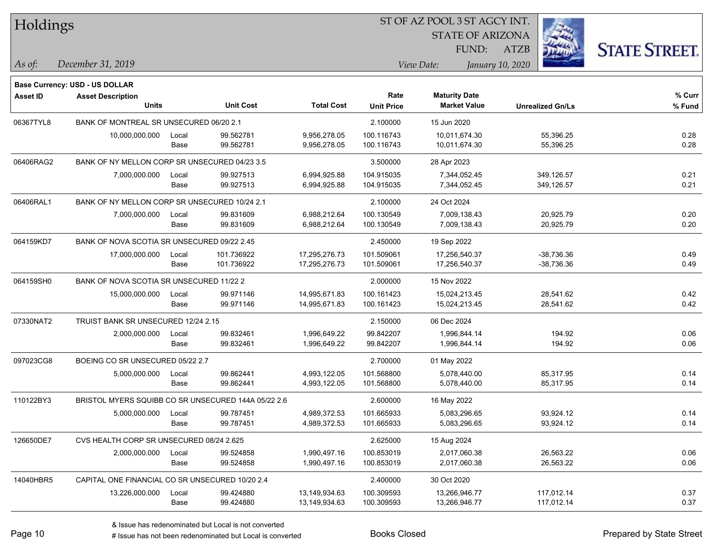| Holdings        |                                                 |       |                                                     |                   | 51 OF AZ POOL 3 51 AGCY INT. |                         |                         |                      |  |
|-----------------|-------------------------------------------------|-------|-----------------------------------------------------|-------------------|------------------------------|-------------------------|-------------------------|----------------------|--|
|                 |                                                 |       |                                                     |                   |                              | <b>STATE OF ARIZONA</b> |                         |                      |  |
|                 |                                                 |       |                                                     |                   |                              | FUND:                   | <b>ATZB</b>             | <b>STATE STREET.</b> |  |
| As of:          | December 31, 2019                               |       |                                                     |                   |                              | View Date:              | January 10, 2020        |                      |  |
|                 | <b>Base Currency: USD - US DOLLAR</b>           |       |                                                     |                   |                              |                         |                         |                      |  |
| <b>Asset ID</b> | <b>Asset Description</b>                        |       |                                                     |                   | Rate                         | <b>Maturity Date</b>    |                         | % Curr               |  |
|                 | <b>Units</b>                                    |       | <b>Unit Cost</b>                                    | <b>Total Cost</b> | <b>Unit Price</b>            | <b>Market Value</b>     | <b>Unrealized Gn/Ls</b> | % Fund               |  |
| 06367TYL8       | BANK OF MONTREAL SR UNSECURED 06/20 2.1         |       |                                                     |                   | 2.100000                     | 15 Jun 2020             |                         |                      |  |
|                 | 10,000,000.000                                  | Local | 99.562781                                           | 9,956,278.05      | 100.116743                   | 10,011,674.30           | 55,396.25               | 0.28                 |  |
|                 |                                                 | Base  | 99.562781                                           | 9,956,278.05      | 100.116743                   | 10,011,674.30           | 55,396.25               | 0.28                 |  |
| 06406RAG2       | BANK OF NY MELLON CORP SR UNSECURED 04/23 3.5   |       |                                                     |                   | 3.500000                     | 28 Apr 2023             |                         |                      |  |
|                 | 7,000,000.000                                   | Local | 99.927513                                           | 6,994,925.88      | 104.915035                   | 7,344,052.45            | 349,126.57              | 0.21                 |  |
|                 |                                                 | Base  | 99.927513                                           | 6,994,925.88      | 104.915035                   | 7,344,052.45            | 349,126.57              | 0.21                 |  |
| 06406RAL1       | BANK OF NY MELLON CORP SR UNSECURED 10/24 2.1   |       |                                                     |                   | 2.100000                     | 24 Oct 2024             |                         |                      |  |
|                 | 7,000,000.000                                   | Local | 99.831609                                           | 6,988,212.64      | 100.130549                   | 7,009,138.43            | 20,925.79               | 0.20                 |  |
|                 |                                                 | Base  | 99.831609                                           | 6,988,212.64      | 100.130549                   | 7,009,138.43            | 20,925.79               | 0.20                 |  |
| 064159KD7       | BANK OF NOVA SCOTIA SR UNSECURED 09/22 2.45     |       |                                                     |                   | 2.450000                     | 19 Sep 2022             |                         |                      |  |
|                 | 17,000,000.000                                  | Local | 101.736922                                          | 17,295,276.73     | 101.509061                   | 17,256,540.37           | $-38,736.36$            | 0.49                 |  |
|                 |                                                 | Base  | 101.736922                                          | 17,295,276.73     | 101.509061                   | 17,256,540.37           | -38,736.36              | 0.49                 |  |
| 064159SH0       | BANK OF NOVA SCOTIA SR UNSECURED 11/22 2        |       |                                                     |                   | 2.000000                     | 15 Nov 2022             |                         |                      |  |
|                 | 15,000,000.000                                  | Local | 99.971146                                           | 14,995,671.83     | 100.161423                   | 15,024,213.45           | 28,541.62               | 0.42                 |  |
|                 |                                                 | Base  | 99.971146                                           | 14,995,671.83     | 100.161423                   | 15,024,213.45           | 28,541.62               | 0.42                 |  |
| 07330NAT2       | TRUIST BANK SR UNSECURED 12/24 2.15             |       |                                                     |                   | 2.150000                     | 06 Dec 2024             |                         |                      |  |
|                 | 2,000,000.000                                   | Local | 99.832461                                           | 1,996,649.22      | 99.842207                    | 1,996,844.14            | 194.92                  | 0.06                 |  |
|                 |                                                 | Base  | 99.832461                                           | 1,996,649.22      | 99.842207                    | 1,996,844.14            | 194.92                  | 0.06                 |  |
| 097023CG8       | BOEING CO SR UNSECURED 05/22 2.7                |       |                                                     |                   | 2.700000                     | 01 May 2022             |                         |                      |  |
|                 | 5,000,000.000                                   | Local | 99.862441                                           | 4,993,122.05      | 101.568800                   | 5,078,440.00            | 85,317.95               | 0.14                 |  |
|                 |                                                 | Base  | 99.862441                                           | 4,993,122.05      | 101.568800                   | 5,078,440.00            | 85,317.95               | 0.14                 |  |
| 110122BY3       |                                                 |       | BRISTOL MYERS SQUIBB CO SR UNSECURED 144A 05/22 2.6 |                   | 2.600000                     | 16 May 2022             |                         |                      |  |
|                 | 5,000,000.000                                   | Local | 99.787451                                           | 4,989,372.53      | 101.665933                   | 5,083,296.65            | 93,924.12               | 0.14                 |  |
|                 |                                                 | Base  | 99.787451                                           | 4,989,372.53      | 101.665933                   | 5,083,296.65            | 93,924.12               | 0.14                 |  |
| 126650DE7       | CVS HEALTH CORP SR UNSECURED 08/24 2.625        |       |                                                     |                   | 2.625000                     | 15 Aug 2024             |                         |                      |  |
|                 | 2,000,000.000                                   | Local | 99.524858                                           | 1,990,497.16      | 100.853019                   | 2,017,060.38            | 26,563.22               | 0.06                 |  |
|                 |                                                 | Base  | 99.524858                                           | 1,990,497.16      | 100.853019                   | 2,017,060.38            | 26,563.22               | 0.06                 |  |
| 14040HBR5       | CAPITAL ONE FINANCIAL CO SR UNSECURED 10/20 2.4 |       |                                                     |                   | 2.400000                     | 30 Oct 2020             |                         |                      |  |
|                 | 13,226,000.000                                  | Local | 99.424880                                           | 13,149,934.63     | 100.309593                   | 13,266,946.77           | 117,012.14              | 0.37                 |  |
|                 |                                                 | Base  | 99.424880                                           | 13,149,934.63     | 100.309593                   | 13,266,946.77           | 117,012.14              | 0.37                 |  |

 $\overline{\text{SUSY}}$ 

٦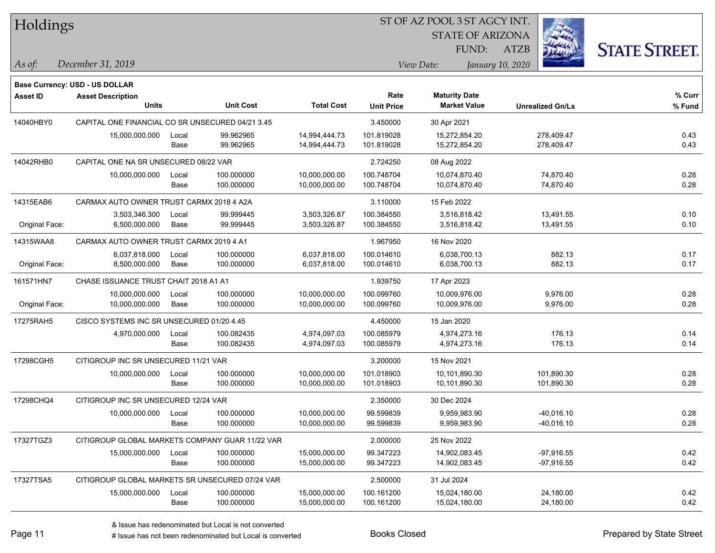#### ST OF AZ POOL 3 ST AGCY INT.

STATE OF ARIZONA

ATZB



*December 31, 2019 As of: View Date: January 10, 2020*

**Base Currency: USD - US DOLLAR**

| <b>Asset ID</b> | <b>Asset Description</b><br>Units                |               | <b>Unit Cost</b>         | <b>Total Cost</b>              | Rate<br><b>Unit Price</b> | <b>Maturity Date</b><br><b>Market Value</b> | <b>Unrealized Gn/Ls</b>      | % Curr<br>% Fund |
|-----------------|--------------------------------------------------|---------------|--------------------------|--------------------------------|---------------------------|---------------------------------------------|------------------------------|------------------|
| 14040HBY0       | CAPITAL ONE FINANCIAL CO SR UNSECURED 04/21 3.45 |               |                          |                                | 3.450000                  | 30 Apr 2021                                 |                              |                  |
|                 | 15,000,000.000                                   | Local<br>Base | 99.962965<br>99.962965   | 14,994,444.73<br>14,994,444.73 | 101.819028<br>101.819028  | 15,272,854.20<br>15,272,854.20              | 278,409.47<br>278,409.47     | 0.43<br>0.43     |
| 14042RHB0       | CAPITAL ONE NA SR UNSECURED 08/22 VAR            |               |                          |                                | 2.724250                  | 08 Aug 2022                                 |                              |                  |
|                 | 10,000,000.000                                   | Local<br>Base | 100.000000<br>100.000000 | 10,000,000.00<br>10,000,000.00 | 100.748704<br>100.748704  | 10,074,870.40<br>10,074,870.40              | 74,870.40<br>74,870.40       | 0.28<br>0.28     |
| 14315EAB6       | CARMAX AUTO OWNER TRUST CARMX 2018 4 A2A         |               |                          |                                | 3.110000                  | 15 Feb 2022                                 |                              |                  |
| Original Face:  | 3,503,346.300<br>6,500,000.000                   | Local<br>Base | 99.999445<br>99.999445   | 3,503,326.87<br>3,503,326.87   | 100.384550<br>100.384550  | 3,516,818.42<br>3,516,818.42                | 13,491.55<br>13,491.55       | 0.10<br>0.10     |
| 14315WAA8       | CARMAX AUTO OWNER TRUST CARMX 2019 4 A1          |               |                          | 1.967950                       | 16 Nov 2020               |                                             |                              |                  |
| Original Face:  | 6,037,818.000<br>8,500,000.000                   | Local<br>Base | 100.000000<br>100.000000 | 6,037,818.00<br>6,037,818.00   | 100.014610<br>100.014610  | 6,038,700.13<br>6,038,700.13                | 882.13<br>882.13             | 0.17<br>0.17     |
| 161571HN7       | CHASE ISSUANCE TRUST CHAIT 2018 A1 A1            |               |                          |                                | 1.939750                  | 17 Apr 2023                                 |                              |                  |
| Original Face:  | 10,000,000.000<br>10,000,000.000                 | Local<br>Base | 100.000000<br>100.000000 | 10,000,000.00<br>10,000,000.00 | 100.099760<br>100.099760  | 10,009,976.00<br>10,009,976.00              | 9,976.00<br>9,976.00         | 0.28<br>0.28     |
| 17275RAH5       | CISCO SYSTEMS INC SR UNSECURED 01/20 4.45        |               |                          |                                | 4.450000                  | 15 Jan 2020                                 |                              |                  |
|                 | 4,970,000.000                                    | Local<br>Base | 100.082435<br>100.082435 | 4,974,097.03<br>4,974,097.03   | 100.085979<br>100.085979  | 4,974,273.16<br>4,974,273.16                | 176.13<br>176.13             | 0.14<br>0.14     |
| 17298CGH5       | CITIGROUP INC SR UNSECURED 11/21 VAR             |               |                          |                                | 3.200000                  | 15 Nov 2021                                 |                              |                  |
|                 | 10,000,000.000                                   | Local<br>Base | 100.000000<br>100.000000 | 10,000,000.00<br>10,000,000.00 | 101.018903<br>101.018903  | 10,101,890.30<br>10,101,890.30              | 101,890.30<br>101,890.30     | 0.28<br>0.28     |
| 17298CHQ4       | CITIGROUP INC SR UNSECURED 12/24 VAR             |               |                          |                                | 2.350000                  | 30 Dec 2024                                 |                              |                  |
|                 | 10,000,000.000                                   | Local<br>Base | 100.000000<br>100.000000 | 10,000,000.00<br>10,000,000.00 | 99.599839<br>99.599839    | 9,959,983.90<br>9,959,983.90                | $-40,016.10$<br>$-40,016.10$ | 0.28<br>0.28     |
| 17327TGZ3       | CITIGROUP GLOBAL MARKETS COMPANY GUAR 11/22 VAR  |               |                          |                                | 2.000000                  | 25 Nov 2022                                 |                              |                  |
|                 | 15,000,000.000                                   | Local<br>Base | 100.000000<br>100.000000 | 15,000,000.00<br>15,000,000.00 | 99.347223<br>99.347223    | 14,902,083.45<br>14,902,083.45              | $-97,916.55$<br>$-97,916.55$ | 0.42<br>0.42     |
| 17327TSA5       | CITIGROUP GLOBAL MARKETS SR UNSECURED 07/24 VAR  |               |                          |                                | 2.500000                  | 31 Jul 2024                                 |                              |                  |
|                 | 15,000,000.000                                   | Local<br>Base | 100.000000<br>100.000000 | 15,000,000.00<br>15,000,000.00 | 100.161200<br>100.161200  | 15,024,180.00<br>15,024,180.00              | 24,180.00<br>24,180.00       | 0.42<br>0.42     |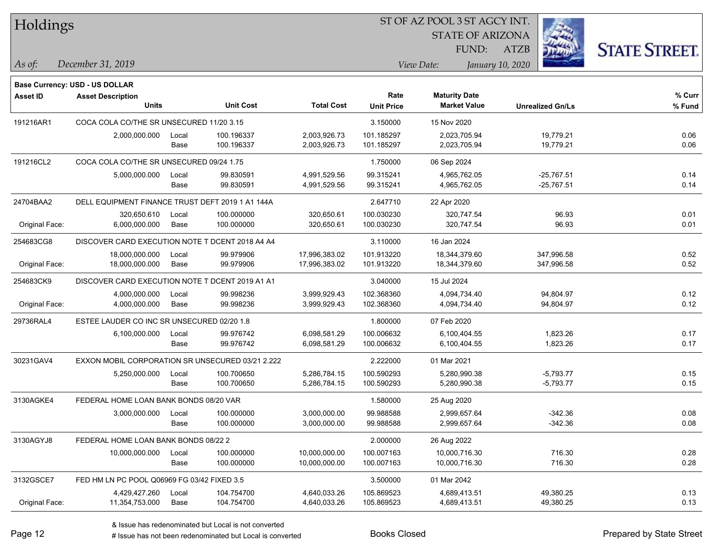|  | Holdings |
|--|----------|
|--|----------|

STATE OF ARIZONA

ATZB



*December 31, 2019 As of: View Date: January 10, 2020*

**Base Currency: USD - US DOLLAR**

| <b>Asset ID</b> | <b>Asset Description</b><br><b>Units</b>         |               | <b>Unit Cost</b>         | <b>Total Cost</b>              | Rate<br><b>Unit Price</b> | <b>Maturity Date</b><br><b>Market Value</b> | <b>Unrealized Gn/Ls</b>    | % Curr<br>% Fund |
|-----------------|--------------------------------------------------|---------------|--------------------------|--------------------------------|---------------------------|---------------------------------------------|----------------------------|------------------|
| 191216AR1       | COCA COLA CO/THE SR UNSECURED 11/20 3.15         |               |                          |                                | 3.150000                  | 15 Nov 2020                                 |                            |                  |
|                 | 2,000,000.000                                    | Local<br>Base | 100.196337<br>100.196337 | 2,003,926.73<br>2,003,926.73   | 101.185297<br>101.185297  | 2,023,705.94<br>2,023,705.94                | 19,779.21<br>19,779.21     | 0.06<br>0.06     |
| 191216CL2       | COCA COLA CO/THE SR UNSECURED 09/24 1.75         |               |                          |                                | 1.750000                  | 06 Sep 2024                                 |                            |                  |
|                 | 5,000,000.000                                    | Local<br>Base | 99.830591<br>99.830591   | 4,991,529.56<br>4,991,529.56   | 99.315241<br>99.315241    | 4,965,762.05<br>4,965,762.05                | $-25,767.51$<br>-25,767.51 | 0.14<br>0.14     |
| 24704BAA2       | DELL EQUIPMENT FINANCE TRUST DEFT 2019 1 A1 144A |               |                          |                                | 2.647710                  | 22 Apr 2020                                 |                            |                  |
| Original Face:  | 320,650.610<br>6,000,000.000                     | Local<br>Base | 100.000000<br>100.000000 | 320,650.61<br>320,650.61       | 100.030230<br>100.030230  | 320,747.54<br>320,747.54                    | 96.93<br>96.93             | 0.01<br>0.01     |
| 254683CG8       | DISCOVER CARD EXECUTION NOTE T DCENT 2018 A4 A4  |               |                          |                                | 3.110000                  | 16 Jan 2024                                 |                            |                  |
| Original Face:  | 18,000,000.000<br>18,000,000.000                 | Local<br>Base | 99.979906<br>99.979906   | 17,996,383.02<br>17,996,383.02 | 101.913220<br>101.913220  | 18,344,379.60<br>18,344,379.60              | 347,996.58<br>347,996.58   | 0.52<br>0.52     |
| 254683CK9       | DISCOVER CARD EXECUTION NOTE T DCENT 2019 A1 A1  |               |                          |                                | 3.040000                  | 15 Jul 2024                                 |                            |                  |
| Original Face:  | 4,000,000.000<br>4,000,000.000                   | Local<br>Base | 99.998236<br>99.998236   | 3,999,929.43<br>3,999,929.43   | 102.368360<br>102.368360  | 4,094,734.40<br>4,094,734.40                | 94,804.97<br>94,804.97     | 0.12<br>0.12     |
| 29736RAL4       | ESTEE LAUDER CO INC SR UNSECURED 02/20 1.8       |               |                          | 1.800000                       | 07 Feb 2020               |                                             |                            |                  |
|                 | 6,100,000.000                                    | Local<br>Base | 99.976742<br>99.976742   | 6,098,581.29<br>6,098,581.29   | 100.006632<br>100.006632  | 6,100,404.55<br>6,100,404.55                | 1,823.26<br>1,823.26       | 0.17<br>0.17     |
| 30231GAV4       | EXXON MOBIL CORPORATION SR UNSECURED 03/21 2.222 |               |                          |                                | 2.222000                  | 01 Mar 2021                                 |                            |                  |
|                 | 5,250,000.000                                    | Local<br>Base | 100.700650<br>100.700650 | 5,286,784.15<br>5,286,784.15   | 100.590293<br>100.590293  | 5,280,990.38<br>5,280,990.38                | $-5,793.77$<br>$-5,793.77$ | 0.15<br>0.15     |
| 3130AGKE4       | FEDERAL HOME LOAN BANK BONDS 08/20 VAR           |               |                          |                                | 1.580000                  | 25 Aug 2020                                 |                            |                  |
|                 | 3,000,000.000                                    | Local<br>Base | 100.000000<br>100.000000 | 3,000,000.00<br>3,000,000.00   | 99.988588<br>99.988588    | 2,999,657.64<br>2,999,657.64                | $-342.36$<br>$-342.36$     | 0.08<br>0.08     |
| 3130AGYJ8       | FEDERAL HOME LOAN BANK BONDS 08/22 2             |               |                          |                                | 2.000000                  | 26 Aug 2022                                 |                            |                  |
|                 | 10,000,000.000                                   | Local<br>Base | 100.000000<br>100.000000 | 10,000,000.00<br>10,000,000.00 | 100.007163<br>100.007163  | 10,000,716.30<br>10,000,716.30              | 716.30<br>716.30           | 0.28<br>0.28     |
| 3132GSCE7       | FED HM LN PC POOL Q06969 FG 03/42 FIXED 3.5      |               |                          |                                | 3.500000                  | 01 Mar 2042                                 |                            |                  |
| Original Face:  | 4,429,427.260<br>11,354,753.000                  | Local<br>Base | 104.754700<br>104.754700 | 4,640,033.26<br>4,640,033.26   | 105.869523<br>105.869523  | 4,689,413.51<br>4,689,413.51                | 49,380.25<br>49,380.25     | 0.13<br>0.13     |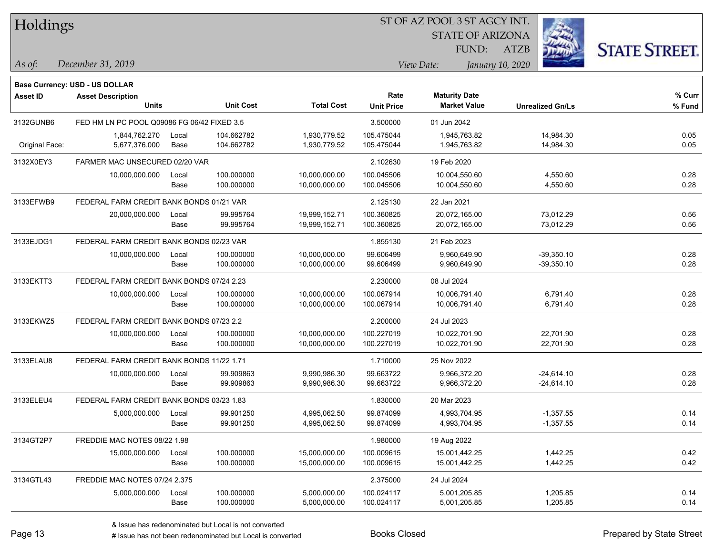|  | Holdings |
|--|----------|
|--|----------|

STATE OF ARIZONA

ATZB



*December 31, 2019 As of: View Date: January 10, 2020*

**Base Currency: USD - US DOLLAR**

FUND:

| Asset ID                                               | <b>Asset Description</b><br><b>Units</b>    |               | <b>Unit Cost</b>         | <b>Total Cost</b>              | Rate<br><b>Unit Price</b> | <b>Maturity Date</b><br><b>Market Value</b> | <b>Unrealized Gn/Ls</b>      | % Curr<br>% Fund |
|--------------------------------------------------------|---------------------------------------------|---------------|--------------------------|--------------------------------|---------------------------|---------------------------------------------|------------------------------|------------------|
| 3132GUNB6                                              | FED HM LN PC POOL Q09086 FG 06/42 FIXED 3.5 |               |                          |                                | 3.500000                  | 01 Jun 2042                                 |                              |                  |
| Original Face:                                         | 1,844,762.270<br>5,677,376.000              | Local<br>Base | 104.662782<br>104.662782 | 1,930,779.52<br>1,930,779.52   | 105.475044<br>105.475044  | 1,945,763.82<br>1,945,763.82                | 14,984.30<br>14,984.30       | 0.05<br>0.05     |
| 3132X0EY3                                              | FARMER MAC UNSECURED 02/20 VAR              |               |                          |                                | 2.102630                  | 19 Feb 2020                                 |                              |                  |
|                                                        | 10,000,000.000                              | Local<br>Base | 100.000000<br>100.000000 | 10,000,000.00<br>10,000,000.00 | 100.045506<br>100.045506  | 10,004,550.60<br>10,004,550.60              | 4,550.60<br>4,550.60         | 0.28<br>0.28     |
| 3133EFWB9                                              | FEDERAL FARM CREDIT BANK BONDS 01/21 VAR    |               |                          |                                | 2.125130                  | 22 Jan 2021                                 |                              |                  |
|                                                        | 20,000,000.000                              | Local<br>Base | 99.995764<br>99.995764   | 19,999,152.71<br>19,999,152.71 | 100.360825<br>100.360825  | 20,072,165.00<br>20,072,165.00              | 73,012.29<br>73,012.29       | 0.56<br>0.56     |
| 3133EJDG1                                              | FEDERAL FARM CREDIT BANK BONDS 02/23 VAR    |               |                          |                                | 1.855130                  | 21 Feb 2023                                 |                              |                  |
|                                                        | 10,000,000.000                              | Local<br>Base | 100.000000<br>100.000000 | 10,000,000.00<br>10,000,000.00 | 99.606499<br>99.606499    | 9,960,649.90<br>9,960,649.90                | $-39,350.10$<br>$-39,350.10$ | 0.28<br>0.28     |
| 3133EKTT3<br>FEDERAL FARM CREDIT BANK BONDS 07/24 2.23 |                                             |               | 2.230000                 | 08 Jul 2024                    |                           |                                             |                              |                  |
|                                                        | 10,000,000.000                              | Local<br>Base | 100.000000<br>100.000000 | 10,000,000.00<br>10,000,000.00 | 100.067914<br>100.067914  | 10,006,791.40<br>10,006,791.40              | 6,791.40<br>6,791.40         | 0.28<br>0.28     |
| 3133EKWZ5                                              | FEDERAL FARM CREDIT BANK BONDS 07/23 2.2    |               |                          |                                | 2.200000                  | 24 Jul 2023                                 |                              |                  |
|                                                        | 10,000,000.000                              | Local<br>Base | 100.000000<br>100.000000 | 10,000,000.00<br>10,000,000.00 | 100.227019<br>100.227019  | 10,022,701.90<br>10,022,701.90              | 22,701.90<br>22,701.90       | 0.28<br>0.28     |
| 3133ELAU8                                              | FEDERAL FARM CREDIT BANK BONDS 11/22 1.71   |               |                          |                                | 1.710000                  | 25 Nov 2022                                 |                              |                  |
|                                                        | 10,000,000.000                              | Local<br>Base | 99.909863<br>99.909863   | 9,990,986.30<br>9,990,986.30   | 99.663722<br>99.663722    | 9,966,372.20<br>9,966,372.20                | $-24,614.10$<br>$-24,614.10$ | 0.28<br>0.28     |
| 3133ELEU4                                              | FEDERAL FARM CREDIT BANK BONDS 03/23 1.83   |               |                          |                                | 1.830000                  | 20 Mar 2023                                 |                              |                  |
|                                                        | 5,000,000.000                               | Local<br>Base | 99.901250<br>99.901250   | 4,995,062.50<br>4,995,062.50   | 99.874099<br>99.874099    | 4,993,704.95<br>4,993,704.95                | $-1,357.55$<br>$-1,357.55$   | 0.14<br>0.14     |
| 3134GT2P7                                              | FREDDIE MAC NOTES 08/22 1.98                |               |                          |                                | 1.980000                  | 19 Aug 2022                                 |                              |                  |
|                                                        | 15,000,000.000                              | Local<br>Base | 100.000000<br>100.000000 | 15,000,000.00<br>15,000,000.00 | 100.009615<br>100.009615  | 15,001,442.25<br>15,001,442.25              | 1,442.25<br>1,442.25         | 0.42<br>0.42     |
| 3134GTL43                                              | FREDDIE MAC NOTES 07/24 2.375               |               |                          |                                | 2.375000                  | 24 Jul 2024                                 |                              |                  |
|                                                        | 5,000,000.000                               | Local<br>Base | 100.000000<br>100.000000 | 5,000,000.00<br>5.000.000.00   | 100.024117<br>100.024117  | 5,001,205.85<br>5,001,205.85                | 1,205.85<br>1,205.85         | 0.14<br>0.14     |

A ISSUE ISSUE ISSUE ISSUE ISSUE ISSUE ISSUE ISSUE ISSUE ISSUE ISSUE ISSUE ISSUE ISSUE ISSUE ISSUE ISSUE ISSUE I<br>
# Issue has not been redenominated but Local is converted **BOOKS** Closed **Prepared by State Street**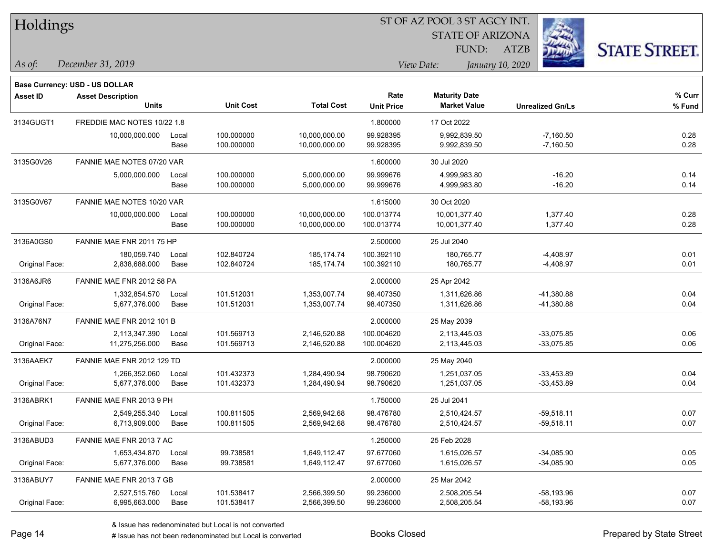|  | <b>Holdings</b> |
|--|-----------------|
|  |                 |

STATE OF ARIZONA

ATZB



*December 31, 2019 As of: View Date: January 10, 2020*

**Base Currency: USD - US DOLLAR**

| <b>Asset ID</b> | <b>Asset Description</b>         |       |                  |                   | Rate              | <b>Maturity Date</b> |                         | % Curr |
|-----------------|----------------------------------|-------|------------------|-------------------|-------------------|----------------------|-------------------------|--------|
|                 | <b>Units</b>                     |       | <b>Unit Cost</b> | <b>Total Cost</b> | <b>Unit Price</b> | <b>Market Value</b>  | <b>Unrealized Gn/Ls</b> | % Fund |
| 3134GUGT1       | FREDDIE MAC NOTES 10/22 1.8      |       |                  |                   | 1.800000          | 17 Oct 2022          |                         |        |
|                 | 10,000,000.000                   | Local | 100.000000       | 10,000,000.00     | 99.928395         | 9,992,839.50         | $-7,160.50$             | 0.28   |
|                 |                                  | Base  | 100.000000       | 10,000,000.00     | 99.928395         | 9,992,839.50         | $-7,160.50$             | 0.28   |
| 3135G0V26       | FANNIE MAE NOTES 07/20 VAR       |       |                  |                   | 1.600000          | 30 Jul 2020          |                         |        |
|                 | 5,000,000.000                    | Local | 100.000000       | 5,000,000.00      | 99.999676         | 4,999,983.80         | $-16.20$                | 0.14   |
|                 |                                  | Base  | 100.000000       | 5,000,000.00      | 99.999676         | 4,999,983.80         | $-16.20$                | 0.14   |
| 3135G0V67       | FANNIE MAE NOTES 10/20 VAR       |       |                  |                   | 1.615000          | 30 Oct 2020          |                         |        |
|                 | 10,000,000.000                   | Local | 100.000000       | 10,000,000.00     | 100.013774        | 10,001,377.40        | 1,377.40                | 0.28   |
|                 |                                  | Base  | 100.000000       | 10,000,000.00     | 100.013774        | 10,001,377.40        | 1,377.40                | 0.28   |
| 3136A0GS0       | FANNIE MAE FNR 2011 75 HP        |       |                  |                   | 2.500000          | 25 Jul 2040          |                         |        |
|                 | 180,059.740                      | Local | 102.840724       | 185, 174.74       | 100.392110        | 180,765.77           | $-4,408.97$             | 0.01   |
| Original Face:  | 2,838,688.000                    | Base  | 102.840724       | 185, 174. 74      | 100.392110        | 180,765.77           | $-4,408.97$             | 0.01   |
| 3136A6JR6       | FANNIE MAE FNR 2012 58 PA        |       |                  |                   | 2.000000          | 25 Apr 2042          |                         |        |
|                 | 1,332,854.570                    | Local | 101.512031       | 1,353,007.74      | 98.407350         | 1,311,626.86         | $-41,380.88$            | 0.04   |
| Original Face:  | 5,677,376.000                    | Base  | 101.512031       | 1,353,007.74      | 98.407350         | 1,311,626.86         | $-41,380.88$            | 0.04   |
| 3136A76N7       | <b>FANNIE MAE FNR 2012 101 B</b> |       |                  |                   | 2.000000          | 25 May 2039          |                         |        |
|                 | 2,113,347.390                    | Local | 101.569713       | 2,146,520.88      | 100.004620        | 2,113,445.03         | $-33,075.85$            | 0.06   |
| Original Face:  | 11,275,256.000                   | Base  | 101.569713       | 2,146,520.88      | 100.004620        | 2,113,445.03         | $-33,075.85$            | 0.06   |
| 3136AAEK7       | FANNIE MAE FNR 2012 129 TD       |       |                  |                   | 2.000000          | 25 May 2040          |                         |        |
|                 | 1,266,352.060                    | Local | 101.432373       | 1,284,490.94      | 98.790620         | 1,251,037.05         | $-33,453.89$            | 0.04   |
| Original Face:  | 5,677,376.000                    | Base  | 101.432373       | 1,284,490.94      | 98.790620         | 1,251,037.05         | $-33,453.89$            | 0.04   |
| 3136ABRK1       | FANNIE MAE FNR 2013 9 PH         |       |                  |                   | 1.750000          | 25 Jul 2041          |                         |        |
|                 | 2.549.255.340                    | Local | 100.811505       | 2,569,942.68      | 98.476780         | 2,510,424.57         | $-59,518.11$            | 0.07   |
| Original Face:  | 6,713,909.000                    | Base  | 100.811505       | 2,569,942.68      | 98.476780         | 2,510,424.57         | $-59,518.11$            | 0.07   |
| 3136ABUD3       | FANNIE MAE FNR 2013 7 AC         |       |                  |                   | 1.250000          | 25 Feb 2028          |                         |        |
|                 | 1,653,434.870                    | Local | 99.738581        | 1,649,112.47      | 97.677060         | 1,615,026.57         | $-34,085.90$            | 0.05   |
| Original Face:  | 5,677,376.000                    | Base  | 99.738581        | 1,649,112.47      | 97.677060         | 1,615,026.57         | $-34,085.90$            | 0.05   |
| 3136ABUY7       | FANNIE MAE FNR 2013 7 GB         |       |                  |                   | 2.000000          | 25 Mar 2042          |                         |        |
|                 | 2,527,515.760                    | Local | 101.538417       | 2,566,399.50      | 99.236000         | 2,508,205.54         | -58,193.96              | 0.07   |
| Original Face:  | 6,995,663.000                    | Base  | 101.538417       | 2,566,399.50      | 99.236000         | 2,508,205.54         | -58,193.96              | 0.07   |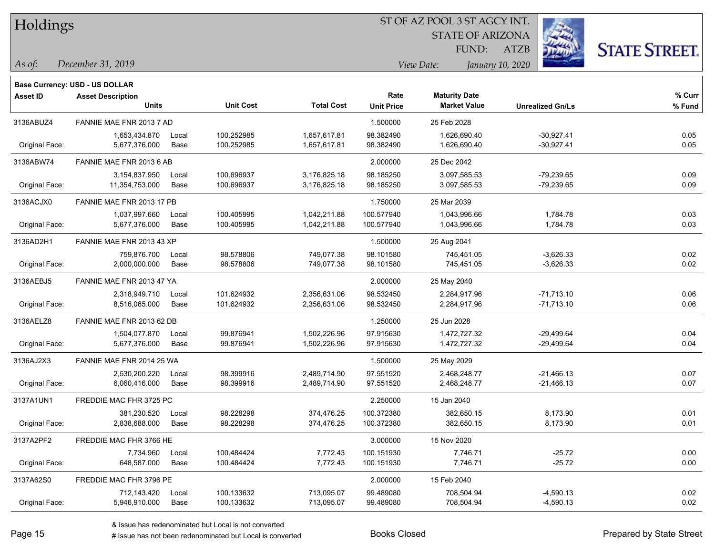| Holdings |
|----------|
|          |

STATE OF ARIZONA

ATZB



*December 31, 2019 As of: View Date: January 10, 2020*

**Base Currency: USD - US DOLLAR**

| Asset ID       | <b>Asset Description</b>  |       |                  |                   | Rate              | <b>Maturity Date</b> |                         | % Curr |
|----------------|---------------------------|-------|------------------|-------------------|-------------------|----------------------|-------------------------|--------|
|                | <b>Units</b>              |       | <b>Unit Cost</b> | <b>Total Cost</b> | <b>Unit Price</b> | <b>Market Value</b>  | <b>Unrealized Gn/Ls</b> | % Fund |
| 3136ABUZ4      | FANNIE MAE FNR 2013 7 AD  |       |                  |                   | 1.500000          | 25 Feb 2028          |                         |        |
|                | 1,653,434.870             | Local | 100.252985       | 1,657,617.81      | 98.382490         | 1,626,690.40         | $-30,927.41$            | 0.05   |
| Original Face: | 5,677,376.000             | Base  | 100.252985       | 1,657,617.81      | 98.382490         | 1,626,690.40         | $-30,927.41$            | 0.05   |
| 3136ABW74      | FANNIE MAE FNR 2013 6 AB  |       |                  |                   | 2.000000          | 25 Dec 2042          |                         |        |
|                | 3,154,837.950             | Local | 100.696937       | 3,176,825.18      | 98.185250         | 3,097,585.53         | $-79,239.65$            | 0.09   |
| Original Face: | 11,354,753.000            | Base  | 100.696937       | 3,176,825.18      | 98.185250         | 3,097,585.53         | $-79,239.65$            | 0.09   |
| 3136ACJX0      | FANNIE MAE FNR 2013 17 PB |       |                  |                   | 1.750000          | 25 Mar 2039          |                         |        |
|                | 1,037,997.660             | Local | 100.405995       | 1,042,211.88      | 100.577940        | 1,043,996.66         | 1,784.78                | 0.03   |
| Original Face: | 5,677,376.000             | Base  | 100.405995       | 1,042,211.88      | 100.577940        | 1,043,996.66         | 1,784.78                | 0.03   |
| 3136AD2H1      | FANNIE MAE FNR 2013 43 XP |       |                  |                   | 1.500000          | 25 Aug 2041          |                         |        |
|                | 759,876.700               | Local | 98.578806        | 749,077.38        | 98.101580         | 745,451.05           | $-3,626.33$             | 0.02   |
| Original Face: | 2,000,000.000             | Base  | 98.578806        | 749,077.38        | 98.101580         | 745,451.05           | $-3,626.33$             | 0.02   |
| 3136AEBJ5      | FANNIE MAE FNR 2013 47 YA |       |                  |                   | 2.000000          | 25 May 2040          |                         |        |
|                | 2,318,949.710             | Local | 101.624932       | 2,356,631.06      | 98.532450         | 2,284,917.96         | $-71,713.10$            | 0.06   |
| Original Face: | 8,516,065.000             | Base  | 101.624932       | 2,356,631.06      | 98.532450         | 2,284,917.96         | $-71,713.10$            | 0.06   |
| 3136AELZ8      | FANNIE MAE FNR 2013 62 DB |       |                  |                   | 1.250000          | 25 Jun 2028          |                         |        |
|                | 1,504,077.870             | Local | 99.876941        | 1,502,226.96      | 97.915630         | 1,472,727.32         | -29,499.64              | 0.04   |
| Original Face: | 5,677,376.000             | Base  | 99.876941        | 1,502,226.96      | 97.915630         | 1,472,727.32         | -29,499.64              | 0.04   |
| 3136AJ2X3      | FANNIE MAE FNR 2014 25 WA |       |                  |                   | 1.500000          | 25 May 2029          |                         |        |
|                | 2,530,200.220             | Local | 98.399916        | 2,489,714.90      | 97.551520         | 2,468,248.77         | $-21,466.13$            | 0.07   |
| Original Face: | 6,060,416.000             | Base  | 98.399916        | 2,489,714.90      | 97.551520         | 2,468,248.77         | $-21,466.13$            | 0.07   |
| 3137A1UN1      | FREDDIE MAC FHR 3725 PC   |       |                  |                   | 2.250000          | 15 Jan 2040          |                         |        |
|                | 381,230.520               | Local | 98.228298        | 374,476.25        | 100.372380        | 382,650.15           | 8,173.90                | 0.01   |
| Original Face: | 2,838,688.000             | Base  | 98.228298        | 374,476.25        | 100.372380        | 382,650.15           | 8,173.90                | 0.01   |
| 3137A2PF2      | FREDDIE MAC FHR 3766 HE   |       |                  |                   | 3.000000          | 15 Nov 2020          |                         |        |
|                | 7,734.960                 | Local | 100.484424       | 7,772.43          | 100.151930        | 7,746.71             | $-25.72$                | 0.00   |
| Original Face: | 648,587.000               | Base  | 100.484424       | 7,772.43          | 100.151930        | 7,746.71             | $-25.72$                | 0.00   |
| 3137A62S0      | FREDDIE MAC FHR 3796 PE   |       |                  |                   | 2.000000          | 15 Feb 2040          |                         |        |
|                | 712,143.420               | Local | 100.133632       | 713,095.07        | 99.489080         | 708,504.94           | $-4,590.13$             | 0.02   |
| Original Face: | 5,946,910.000             | Base  | 100.133632       | 713,095.07        | 99.489080         | 708,504.94           | $-4,590.13$             | 0.02   |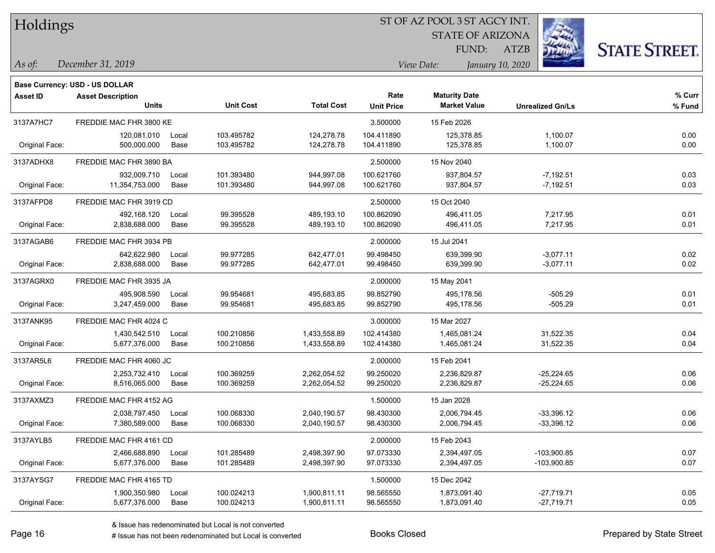#### ST OF AZ POOL 3 ST AGCY INT.

STATE OF ARIZONA

ATZB



*December 31, 2019 As of: View Date: January 10, 2020*

**Base Currency: USD - US DOLLAR**

| Asset ID       | <b>Asset Description</b> |       |                  |                   | Rate              | <b>Maturity Date</b> |                         | % Curr |
|----------------|--------------------------|-------|------------------|-------------------|-------------------|----------------------|-------------------------|--------|
|                | <b>Units</b>             |       | <b>Unit Cost</b> | <b>Total Cost</b> | <b>Unit Price</b> | <b>Market Value</b>  | <b>Unrealized Gn/Ls</b> | % Fund |
| 3137A7HC7      | FREDDIE MAC FHR 3800 KE  |       |                  |                   | 3.500000          | 15 Feb 2026          |                         |        |
|                | 120,081.010              | Local | 103.495782       | 124,278.78        | 104.411890        | 125,378.85           | 1,100.07                | 0.00   |
| Original Face: | 500,000.000              | Base  | 103.495782       | 124,278.78        | 104.411890        | 125,378.85           | 1,100.07                | 0.00   |
| 3137ADHX8      | FREDDIE MAC FHR 3890 BA  |       |                  |                   | 2.500000          | 15 Nov 2040          |                         |        |
|                | 932,009.710              | Local | 101.393480       | 944,997.08        | 100.621760        | 937,804.57           | $-7,192.51$             | 0.03   |
| Original Face: | 11,354,753.000           | Base  | 101.393480       | 944,997.08        | 100.621760        | 937,804.57           | $-7,192.51$             | 0.03   |
| 3137AFPD8      | FREDDIE MAC FHR 3919 CD  |       |                  |                   | 2.500000          | 15 Oct 2040          |                         |        |
|                | 492,168.120              | Local | 99.395528        | 489,193.10        | 100.862090        | 496,411.05           | 7,217.95                | 0.01   |
| Original Face: | 2,838,688.000            | Base  | 99.395528        | 489,193.10        | 100.862090        | 496,411.05           | 7,217.95                | 0.01   |
| 3137AGAB6      | FREDDIE MAC FHR 3934 PB  |       |                  |                   | 2.000000          | 15 Jul 2041          |                         |        |
|                | 642,622.980              | Local | 99.977285        | 642,477.01        | 99.498450         | 639.399.90           | $-3,077.11$             | 0.02   |
| Original Face: | 2,838,688.000            | Base  | 99.977285        | 642,477.01        | 99.498450         | 639,399.90           | $-3,077.11$             | 0.02   |
| 3137AGRX0      | FREDDIE MAC FHR 3935 JA  |       |                  |                   | 2.000000          | 15 May 2041          |                         |        |
|                | 495,908.590              | Local | 99.954681        | 495,683.85        | 99.852790         | 495,178.56           | $-505.29$               | 0.01   |
| Original Face: | 3,247,459.000            | Base  | 99.954681        | 495,683.85        | 99.852790         | 495,178.56           | $-505.29$               | 0.01   |
| 3137ANK95      | FREDDIE MAC FHR 4024 C   |       |                  |                   | 3.000000          | 15 Mar 2027          |                         |        |
|                | 1,430,542.510            | Local | 100.210856       | 1,433,558.89      | 102.414380        | 1,465,081.24         | 31,522.35               | 0.04   |
| Original Face: | 5,677,376.000            | Base  | 100.210856       | 1,433,558.89      | 102.414380        | 1,465,081.24         | 31,522.35               | 0.04   |
| 3137AR5L6      | FREDDIE MAC FHR 4060 JC  |       |                  |                   | 2.000000          | 15 Feb 2041          |                         |        |
|                | 2,253,732.410            | Local | 100.369259       | 2,262,054.52      | 99.250020         | 2,236,829.87         | $-25,224.65$            | 0.06   |
| Original Face: | 8,516,065.000            | Base  | 100.369259       | 2,262,054.52      | 99.250020         | 2,236,829.87         | $-25,224.65$            | 0.06   |
| 3137AXMZ3      | FREDDIE MAC FHR 4152 AG  |       |                  |                   | 1.500000          | 15 Jan 2028          |                         |        |
|                | 2,038,797.450            | Local | 100.068330       | 2,040,190.57      | 98.430300         | 2,006,794.45         | $-33,396.12$            | 0.06   |
| Original Face: | 7,380,589.000            | Base  | 100.068330       | 2,040,190.57      | 98.430300         | 2,006,794.45         | $-33,396.12$            | 0.06   |
| 3137AYLB5      | FREDDIE MAC FHR 4161 CD  |       |                  |                   | 2.000000          | 15 Feb 2043          |                         |        |
|                | 2,466,688.890            | Local | 101.285489       | 2,498,397.90      | 97.073330         | 2,394,497.05         | $-103,900.85$           | 0.07   |
| Original Face: | 5,677,376.000            | Base  | 101.285489       | 2,498,397.90      | 97.073330         | 2,394,497.05         | $-103,900.85$           | 0.07   |
| 3137AYSG7      | FREDDIE MAC FHR 4165 TD  |       |                  |                   | 1.500000          | 15 Dec 2042          |                         |        |
|                | 1,900,350.980            | Local | 100.024213       | 1,900,811.11      | 98.565550         | 1,873,091.40         | $-27,719.71$            | 0.05   |
| Original Face: | 5,677,376.000            | Base  | 100.024213       | 1,900,811.11      | 98.565550         | 1,873,091.40         | $-27,719.71$            | 0.05   |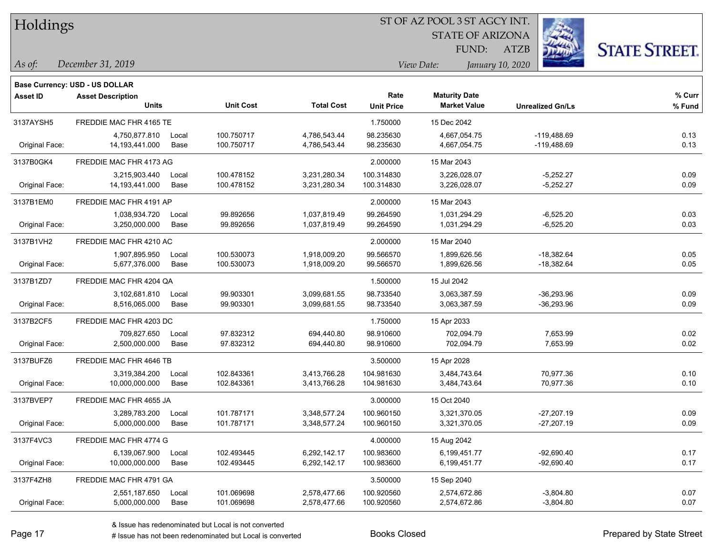| Holdings |
|----------|
|          |

STATE OF ARIZONA

ATZB



*December 31, 2019 As of: View Date: January 10, 2020*

**Base Currency: USD - US DOLLAR**

| <b>Asset ID</b> | <b>Asset Description</b><br><b>Units</b> |       | <b>Unit Cost</b> | <b>Total Cost</b> | Rate<br><b>Unit Price</b> | <b>Maturity Date</b><br><b>Market Value</b> | <b>Unrealized Gn/Ls</b> | % Curr<br>% Fund |
|-----------------|------------------------------------------|-------|------------------|-------------------|---------------------------|---------------------------------------------|-------------------------|------------------|
| 3137AYSH5       | FREDDIE MAC FHR 4165 TE                  |       |                  |                   | 1.750000                  | 15 Dec 2042                                 |                         |                  |
|                 | 4,750,877.810                            | Local | 100.750717       | 4,786,543.44      | 98.235630                 | 4,667,054.75                                | -119,488.69             | 0.13             |
| Original Face:  | 14,193,441.000                           | Base  | 100.750717       | 4,786,543.44      | 98.235630                 | 4,667,054.75                                | $-119,488.69$           | 0.13             |
| 3137B0GK4       | FREDDIE MAC FHR 4173 AG                  |       |                  |                   | 2.000000                  | 15 Mar 2043                                 |                         |                  |
|                 | 3,215,903.440                            | Local | 100.478152       | 3,231,280.34      | 100.314830                | 3,226,028.07                                | $-5,252.27$             | 0.09             |
| Original Face:  | 14, 193, 441.000                         | Base  | 100.478152       | 3,231,280.34      | 100.314830                | 3,226,028.07                                | $-5,252.27$             | 0.09             |
| 3137B1EM0       | FREDDIE MAC FHR 4191 AP                  |       |                  |                   | 2.000000                  | 15 Mar 2043                                 |                         |                  |
|                 | 1,038,934.720                            | Local | 99.892656        | 1,037,819.49      | 99.264590                 | 1,031,294.29                                | $-6,525.20$             | 0.03             |
| Original Face:  | 3,250,000.000                            | Base  | 99.892656        | 1,037,819.49      | 99.264590                 | 1,031,294.29                                | $-6,525.20$             | 0.03             |
| 3137B1VH2       | FREDDIE MAC FHR 4210 AC                  |       |                  |                   | 2.000000                  | 15 Mar 2040                                 |                         |                  |
|                 | 1,907,895.950                            | Local | 100.530073       | 1,918,009.20      | 99.566570                 | 1,899,626.56                                | $-18,382.64$            | 0.05             |
| Original Face:  | 5,677,376.000                            | Base  | 100.530073       | 1,918,009.20      | 99.566570                 | 1,899,626.56                                | $-18,382.64$            | 0.05             |
| 3137B1ZD7       | FREDDIE MAC FHR 4204 QA                  |       |                  |                   | 1.500000                  | 15 Jul 2042                                 |                         |                  |
|                 | 3,102,681.810                            | Local | 99.903301        | 3,099,681.55      | 98.733540                 | 3,063,387.59                                | $-36,293.96$            | 0.09             |
| Original Face:  | 8,516,065.000                            | Base  | 99.903301        | 3,099,681.55      | 98.733540                 | 3,063,387.59                                | $-36,293.96$            | 0.09             |
| 3137B2CF5       | FREDDIE MAC FHR 4203 DC                  |       |                  |                   | 1.750000                  | 15 Apr 2033                                 |                         |                  |
|                 | 709,827.650                              | Local | 97.832312        | 694,440.80        | 98.910600                 | 702,094.79                                  | 7,653.99                | 0.02             |
| Original Face:  | 2,500,000.000                            | Base  | 97.832312        | 694,440.80        | 98.910600                 | 702,094.79                                  | 7,653.99                | 0.02             |
| 3137BUFZ6       | FREDDIE MAC FHR 4646 TB                  |       |                  |                   | 3.500000                  | 15 Apr 2028                                 |                         |                  |
|                 | 3,319,384.200                            | Local | 102.843361       | 3,413,766.28      | 104.981630                | 3,484,743.64                                | 70,977.36               | 0.10             |
| Original Face:  | 10,000,000.000                           | Base  | 102.843361       | 3,413,766.28      | 104.981630                | 3,484,743.64                                | 70,977.36               | 0.10             |
| 3137BVEP7       | FREDDIE MAC FHR 4655 JA                  |       |                  |                   | 3.000000                  | 15 Oct 2040                                 |                         |                  |
|                 | 3,289,783.200                            | Local | 101.787171       | 3,348,577.24      | 100.960150                | 3,321,370.05                                | $-27,207.19$            | 0.09             |
| Original Face:  | 5,000,000.000                            | Base  | 101.787171       | 3,348,577.24      | 100.960150                | 3,321,370.05                                | $-27,207.19$            | 0.09             |
| 3137F4VC3       | FREDDIE MAC FHR 4774 G                   |       |                  |                   | 4.000000                  | 15 Aug 2042                                 |                         |                  |
|                 | 6,139,067.900                            | Local | 102.493445       | 6,292,142.17      | 100.983600                | 6,199,451.77                                | $-92,690.40$            | 0.17             |
| Original Face:  | 10,000,000.000                           | Base  | 102.493445       | 6,292,142.17      | 100.983600                | 6,199,451.77                                | $-92,690.40$            | 0.17             |
| 3137F4ZH8       | FREDDIE MAC FHR 4791 GA                  |       |                  |                   | 3.500000                  | 15 Sep 2040                                 |                         |                  |
|                 | 2,551,187.650                            | Local | 101.069698       | 2,578,477.66      | 100.920560                | 2,574,672.86                                | $-3,804.80$             | 0.07             |
| Original Face:  | 5,000,000.000                            | Base  | 101.069698       | 2,578,477.66      | 100.920560                | 2,574,672.86                                | $-3,804.80$             | 0.07             |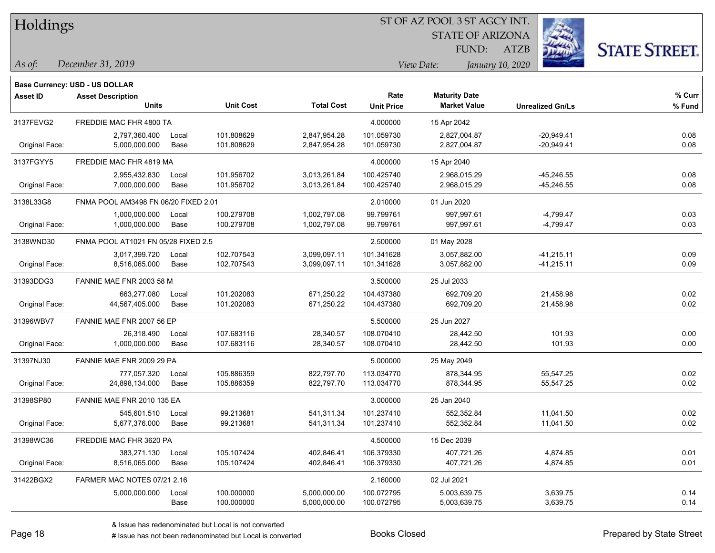| Holdings |
|----------|
|          |

STATE OF ARIZONA

ATZB



*December 31, 2019 As of: View Date: January 10, 2020*

**Base Currency: USD - US DOLLAR**

| <b>Asset ID</b> | <b>Asset Description</b><br><b>Units</b> |       | <b>Unit Cost</b> | <b>Total Cost</b> | Rate<br><b>Unit Price</b> | <b>Maturity Date</b><br><b>Market Value</b> | <b>Unrealized Gn/Ls</b> | % Curr<br>% Fund |
|-----------------|------------------------------------------|-------|------------------|-------------------|---------------------------|---------------------------------------------|-------------------------|------------------|
| 3137FEVG2       | FREDDIE MAC FHR 4800 TA                  |       |                  |                   | 4.000000                  | 15 Apr 2042                                 |                         |                  |
|                 | 2,797,360.400                            | Local | 101.808629       | 2,847,954.28      | 101.059730                | 2,827,004.87                                | $-20,949.41$            | 0.08             |
| Original Face:  | 5,000,000.000                            | Base  | 101.808629       | 2,847,954.28      | 101.059730                | 2,827,004.87                                | $-20,949.41$            | 0.08             |
| 3137FGYY5       | FREDDIE MAC FHR 4819 MA                  |       |                  |                   | 4.000000                  | 15 Apr 2040                                 |                         |                  |
|                 | 2,955,432.830                            | Local | 101.956702       | 3,013,261.84      | 100.425740                | 2,968,015.29                                | $-45,246.55$            | 0.08             |
| Original Face:  | 7.000.000.000                            | Base  | 101.956702       | 3,013,261.84      | 100.425740                | 2,968,015.29                                | $-45,246.55$            | 0.08             |
| 3138L33G8       | FNMA POOL AM3498 FN 06/20 FIXED 2.01     |       |                  |                   | 2.010000                  | 01 Jun 2020                                 |                         |                  |
|                 | 1,000,000.000                            | Local | 100.279708       | 1,002,797.08      | 99.799761                 | 997,997.61                                  | $-4,799.47$             | 0.03             |
| Original Face:  | 1,000,000.000                            | Base  | 100.279708       | 1,002,797.08      | 99.799761                 | 997,997.61                                  | $-4,799.47$             | 0.03             |
| 3138WND30       | FNMA POOL AT1021 FN 05/28 FIXED 2.5      |       |                  |                   | 2.500000                  | 01 May 2028                                 |                         |                  |
|                 | 3,017,399.720                            | Local | 102.707543       | 3,099,097.11      | 101.341628                | 3,057,882.00                                | $-41,215.11$            | 0.09             |
| Original Face:  | 8,516,065.000                            | Base  | 102.707543       | 3,099,097.11      | 101.341628                | 3,057,882.00                                | $-41,215.11$            | 0.09             |
| 31393DDG3       | FANNIE MAE FNR 2003 58 M                 |       |                  |                   | 3.500000                  | 25 Jul 2033                                 |                         |                  |
|                 | 663,277.080                              | Local | 101.202083       | 671,250.22        | 104.437380                | 692,709.20                                  | 21,458.98               | 0.02             |
| Original Face:  | 44,567,405.000                           | Base  | 101.202083       | 671,250.22        | 104.437380                | 692,709.20                                  | 21,458.98               | 0.02             |
| 31396WBV7       | FANNIE MAE FNR 2007 56 EP                |       |                  |                   | 5.500000                  | 25 Jun 2027                                 |                         |                  |
|                 | 26.318.490                               | Local | 107.683116       | 28,340.57         | 108.070410                | 28,442.50                                   | 101.93                  | 0.00             |
| Original Face:  | 1,000,000.000                            | Base  | 107.683116       | 28,340.57         | 108.070410                | 28,442.50                                   | 101.93                  | 0.00             |
| 31397NJ30       | FANNIE MAE FNR 2009 29 PA                |       |                  |                   | 5.000000                  | 25 May 2049                                 |                         |                  |
|                 | 777,057.320                              | Local | 105.886359       | 822,797.70        | 113.034770                | 878,344.95                                  | 55,547.25               | 0.02             |
| Original Face:  | 24,898,134.000                           | Base  | 105.886359       | 822,797.70        | 113.034770                | 878,344.95                                  | 55,547.25               | 0.02             |
| 31398SP80       | FANNIE MAE FNR 2010 135 EA               |       |                  |                   | 3.000000                  | 25 Jan 2040                                 |                         |                  |
|                 | 545,601.510                              | Local | 99.213681        | 541,311.34        | 101.237410                | 552,352.84                                  | 11,041.50               | 0.02             |
| Original Face:  | 5,677,376.000                            | Base  | 99.213681        | 541,311.34        | 101.237410                | 552,352.84                                  | 11,041.50               | 0.02             |
| 31398WC36       | FREDDIE MAC FHR 3620 PA                  |       |                  |                   | 4.500000                  | 15 Dec 2039                                 |                         |                  |
|                 | 383,271.130                              | Local | 105.107424       | 402,846.41        | 106.379330                | 407,721.26                                  | 4,874.85                | 0.01             |
| Original Face:  | 8,516,065.000                            | Base  | 105.107424       | 402,846.41        | 106.379330                | 407,721.26                                  | 4,874.85                | 0.01             |
| 31422BGX2       | FARMER MAC NOTES 07/21 2.16              |       |                  |                   | 2.160000                  | 02 Jul 2021                                 |                         |                  |
|                 | 5,000,000.000                            | Local | 100.000000       | 5,000,000.00      | 100.072795                | 5,003,639.75                                | 3,639.75                | 0.14             |
|                 |                                          | Base  | 100.000000       | 5,000,000.00      | 100.072795                | 5,003,639.75                                | 3,639.75                | 0.14             |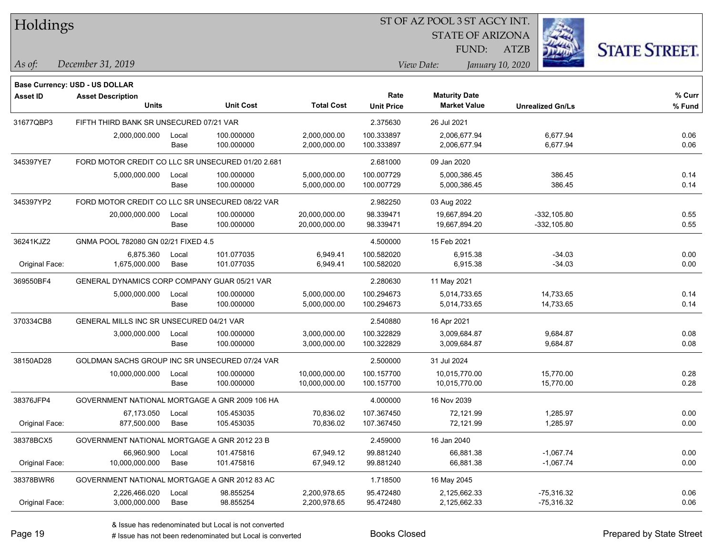| Holdings        |                                                   |       |                  |                   | ST OF AZ POOL 3 ST AGCY INT. |                      |                         |                         |                      |
|-----------------|---------------------------------------------------|-------|------------------|-------------------|------------------------------|----------------------|-------------------------|-------------------------|----------------------|
|                 |                                                   |       |                  |                   |                              |                      | <b>STATE OF ARIZONA</b> |                         |                      |
|                 |                                                   |       |                  |                   |                              | FUND:                | <b>ATZB</b>             |                         | <b>STATE STREET.</b> |
| As of:          | December 31, 2019                                 |       |                  |                   |                              | View Date:           | January 10, 2020        |                         |                      |
|                 | Base Currency: USD - US DOLLAR                    |       |                  |                   |                              |                      |                         |                         |                      |
| <b>Asset ID</b> | <b>Asset Description</b>                          |       |                  |                   | Rate                         | <b>Maturity Date</b> |                         |                         | % Curr               |
|                 | <b>Units</b>                                      |       | <b>Unit Cost</b> | <b>Total Cost</b> | <b>Unit Price</b>            | <b>Market Value</b>  |                         | <b>Unrealized Gn/Ls</b> | % Fund               |
| 31677QBP3       | FIFTH THIRD BANK SR UNSECURED 07/21 VAR           |       |                  |                   | 2.375630                     | 26 Jul 2021          |                         |                         |                      |
|                 | 2,000,000.000                                     | Local | 100.000000       | 2,000,000.00      | 100.333897                   | 2,006,677.94         |                         | 6,677.94                | 0.06                 |
|                 |                                                   | Base  | 100.000000       | 2,000,000.00      | 100.333897                   | 2,006,677.94         |                         | 6,677.94                | 0.06                 |
| 345397YE7       | FORD MOTOR CREDIT CO LLC SR UNSECURED 01/20 2.681 |       |                  |                   | 2.681000                     | 09 Jan 2020          |                         |                         |                      |
|                 | 5,000,000.000                                     | Local | 100.000000       | 5,000,000.00      | 100.007729                   | 5,000,386.45         |                         | 386.45                  | 0.14                 |
|                 |                                                   | Base  | 100.000000       | 5,000,000.00      | 100.007729                   | 5,000,386.45         |                         | 386.45                  | 0.14                 |
| 345397YP2       | FORD MOTOR CREDIT CO LLC SR UNSECURED 08/22 VAR   |       |                  |                   | 2.982250                     | 03 Aug 2022          |                         |                         |                      |
|                 | 20,000,000.000                                    | Local | 100.000000       | 20,000,000.00     | 98.339471                    | 19,667,894.20        |                         | $-332, 105.80$          | 0.55                 |
|                 |                                                   | Base  | 100.000000       | 20,000,000.00     | 98.339471                    | 19,667,894.20        |                         | $-332, 105.80$          | 0.55                 |
| 36241KJZ2       | GNMA POOL 782080 GN 02/21 FIXED 4.5               |       |                  |                   | 4.500000                     | 15 Feb 2021          |                         |                         |                      |
|                 | 6,875.360                                         | Local | 101.077035       | 6,949.41          | 100.582020                   | 6,915.38             |                         | $-34.03$                | 0.00                 |
| Original Face:  | 1,675,000.000                                     | Base  | 101.077035       | 6,949.41          | 100.582020                   | 6,915.38             |                         | $-34.03$                | 0.00                 |
| 369550BF4       | GENERAL DYNAMICS CORP COMPANY GUAR 05/21 VAR      |       |                  |                   | 2.280630                     | 11 May 2021          |                         |                         |                      |
|                 | 5,000,000.000                                     | Local | 100.000000       | 5,000,000.00      | 100.294673                   | 5,014,733.65         |                         | 14,733.65               | 0.14                 |
|                 |                                                   | Base  | 100.000000       | 5,000,000.00      | 100.294673                   | 5,014,733.65         |                         | 14,733.65               | 0.14                 |
| 370334CB8       | GENERAL MILLS INC SR UNSECURED 04/21 VAR          |       |                  |                   | 2.540880                     | 16 Apr 2021          |                         |                         |                      |
|                 | 3,000,000.000                                     | Local | 100.000000       | 3,000,000.00      | 100.322829                   | 3,009,684.87         |                         | 9,684.87                | 0.08                 |
|                 |                                                   | Base  | 100.000000       | 3,000,000.00      | 100.322829                   | 3,009,684.87         |                         | 9,684.87                | 0.08                 |
| 38150AD28       | GOLDMAN SACHS GROUP INC SR UNSECURED 07/24 VAR    |       |                  |                   | 2.500000                     | 31 Jul 2024          |                         |                         |                      |
|                 | 10,000,000.000                                    | Local | 100.000000       | 10,000,000.00     | 100.157700                   | 10,015,770.00        |                         | 15,770.00               | 0.28                 |
|                 |                                                   | Base  | 100.000000       | 10,000,000.00     | 100.157700                   | 10,015,770.00        |                         | 15,770.00               | 0.28                 |
| 38376JFP4       | GOVERNMENT NATIONAL MORTGAGE A GNR 2009 106 HA    |       |                  |                   | 4.000000                     | 16 Nov 2039          |                         |                         |                      |
|                 | 67,173.050                                        | Local | 105.453035       | 70,836.02         | 107.367450                   | 72,121.99            |                         | 1,285.97                | 0.00                 |
| Original Face:  | 877,500.000                                       | Base  | 105.453035       | 70,836.02         | 107.367450                   | 72,121.99            |                         | 1,285.97                | 0.00                 |
| 38378BCX5       | GOVERNMENT NATIONAL MORTGAGE A GNR 2012 23 B      |       |                  |                   | 2.459000                     | 16 Jan 2040          |                         |                         |                      |
|                 | 66,960.900                                        | Local | 101.475816       | 67,949.12         | 99.881240                    | 66,881.38            |                         | $-1,067.74$             | 0.00                 |
| Original Face:  | 10,000,000.000                                    | Base  | 101.475816       | 67,949.12         | 99.881240                    | 66,881.38            |                         | $-1,067.74$             | 0.00                 |
| 38378BWR6       | GOVERNMENT NATIONAL MORTGAGE A GNR 2012 83 AC     |       |                  |                   | 1.718500                     | 16 May 2045          |                         |                         |                      |
|                 | 2,226,466.020                                     | Local | 98.855254        | 2,200,978.65      | 95.472480                    | 2,125,662.33         |                         | $-75,316.32$            | 0.06                 |
| Original Face:  | 3,000,000.000                                     | Base  | 98.855254        | 2,200,978.65      | 95.472480                    | 2,125,662.33         |                         | $-75,316.32$            | 0.06                 |

 $\overline{\phantom{0}}$ 

 $\overline{\phantom{0}}$ 

 $\overline{\phantom{0}}$ 

 $\overline{\phantom{0}}$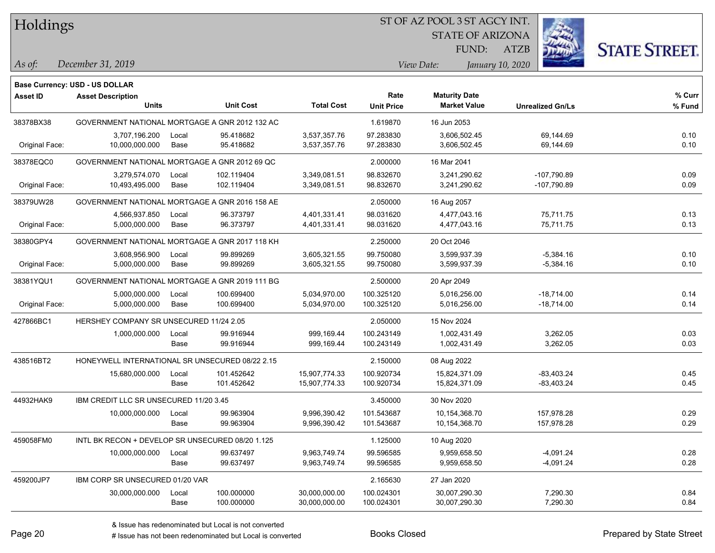#### ST OF AZ POOL 3 ST AGCY INT.

STATE OF ARIZONA

ATZB



*December 31, 2019 As of: View Date: January 10, 2020*

**Base Currency: USD - US DOLLAR**

FUND:

| Asset ID       | <b>Asset Description</b>                         |       |                  |                   | Rate              | <b>Maturity Date</b> |                         | % Curr |
|----------------|--------------------------------------------------|-------|------------------|-------------------|-------------------|----------------------|-------------------------|--------|
|                | Units                                            |       | <b>Unit Cost</b> | <b>Total Cost</b> | <b>Unit Price</b> | <b>Market Value</b>  | <b>Unrealized Gn/Ls</b> | % Fund |
| 38378BX38      | GOVERNMENT NATIONAL MORTGAGE A GNR 2012 132 AC   |       |                  |                   | 1.619870          | 16 Jun 2053          |                         |        |
|                | 3,707,196.200                                    | Local | 95.418682        | 3,537,357.76      | 97.283830         | 3,606,502.45         | 69,144.69               | 0.10   |
| Original Face: | 10,000,000.000                                   | Base  | 95.418682        | 3,537,357.76      | 97.283830         | 3,606,502.45         | 69,144.69               | 0.10   |
| 38378EQC0      | GOVERNMENT NATIONAL MORTGAGE A GNR 2012 69 QC    |       |                  |                   | 2.000000          | 16 Mar 2041          |                         |        |
|                | 3,279,574.070                                    | Local | 102.119404       | 3,349,081.51      | 98.832670         | 3,241,290.62         | -107,790.89             | 0.09   |
| Original Face: | 10,493,495.000                                   | Base  | 102.119404       | 3,349,081.51      | 98.832670         | 3,241,290.62         | $-107,790.89$           | 0.09   |
| 38379UW28      | GOVERNMENT NATIONAL MORTGAGE A GNR 2016 158 AE   |       |                  |                   | 2.050000          | 16 Aug 2057          |                         |        |
|                | 4,566,937.850                                    | Local | 96.373797        | 4,401,331.41      | 98.031620         | 4,477,043.16         | 75,711.75               | 0.13   |
| Original Face: | 5,000,000.000                                    | Base  | 96.373797        | 4,401,331.41      | 98.031620         | 4,477,043.16         | 75,711.75               | 0.13   |
| 38380GPY4      | GOVERNMENT NATIONAL MORTGAGE A GNR 2017 118 KH   |       |                  |                   | 2.250000          | 20 Oct 2046          |                         |        |
|                | 3,608,956.900                                    | Local | 99.899269        | 3,605,321.55      | 99.750080         | 3,599,937.39         | -5,384.16               | 0.10   |
| Original Face: | 5,000,000.000                                    | Base  | 99.899269        | 3,605,321.55      | 99.750080         | 3,599,937.39         | $-5,384.16$             | 0.10   |
| 38381YQU1      | GOVERNMENT NATIONAL MORTGAGE A GNR 2019 111 BG   |       |                  |                   | 2.500000          | 20 Apr 2049          |                         |        |
|                | 5,000,000.000                                    | Local | 100.699400       | 5,034,970.00      | 100.325120        | 5,016,256.00         | $-18,714.00$            | 0.14   |
| Original Face: | 5,000,000.000                                    | Base  | 100.699400       | 5,034,970.00      | 100.325120        | 5,016,256.00         | $-18,714.00$            | 0.14   |
| 427866BC1      | HERSHEY COMPANY SR UNSECURED 11/24 2.05          |       |                  |                   | 2.050000          | 15 Nov 2024          |                         |        |
|                | 1,000,000.000                                    | Local | 99.916944        | 999,169.44        | 100.243149        | 1,002,431.49         | 3,262.05                | 0.03   |
|                |                                                  | Base  | 99.916944        | 999,169.44        | 100.243149        | 1,002,431.49         | 3,262.05                | 0.03   |
| 438516BT2      | HONEYWELL INTERNATIONAL SR UNSECURED 08/22 2.15  |       |                  |                   | 2.150000          | 08 Aug 2022          |                         |        |
|                | 15,680,000.000                                   | Local | 101.452642       | 15,907,774.33     | 100.920734        | 15,824,371.09        | $-83,403.24$            | 0.45   |
|                |                                                  | Base  | 101.452642       | 15,907,774.33     | 100.920734        | 15,824,371.09        | $-83,403.24$            | 0.45   |
| 44932HAK9      | IBM CREDIT LLC SR UNSECURED 11/20 3.45           |       |                  |                   | 3.450000          | 30 Nov 2020          |                         |        |
|                | 10,000,000.000                                   | Local | 99.963904        | 9,996,390.42      | 101.543687        | 10,154,368.70        | 157,978.28              | 0.29   |
|                |                                                  | Base  | 99.963904        | 9,996,390.42      | 101.543687        | 10,154,368.70        | 157,978.28              | 0.29   |
| 459058FM0      | INTL BK RECON + DEVELOP SR UNSECURED 08/20 1.125 |       |                  |                   | 1.125000          | 10 Aug 2020          |                         |        |
|                | 10,000,000.000                                   | Local | 99.637497        | 9,963,749.74      | 99.596585         | 9,959,658.50         | $-4,091.24$             | 0.28   |
|                |                                                  | Base  | 99.637497        | 9,963,749.74      | 99.596585         | 9,959,658.50         | -4,091.24               | 0.28   |
| 459200JP7      | IBM CORP SR UNSECURED 01/20 VAR                  |       |                  |                   | 2.165630          | 27 Jan 2020          |                         |        |
|                | 30,000,000.000                                   | Local | 100.000000       | 30,000,000.00     | 100.024301        | 30,007,290.30        | 7,290.30                | 0.84   |
|                |                                                  | Base  | 100.000000       | 30,000,000.00     | 100.024301        | 30,007,290.30        | 7,290.30                | 0.84   |

A ISSUE ISSUE ISSUE ISSUE ISSUE ISSUE ISSUE ISSUE ISSUE ISSUE ISSUE ISSUE ISSUE ISSUE ISSUE ISSUE ISSUE ISSUE I<br>
# Issue has not been redenominated but Local is converted **BOOKS** Closed **Prepared by State Street**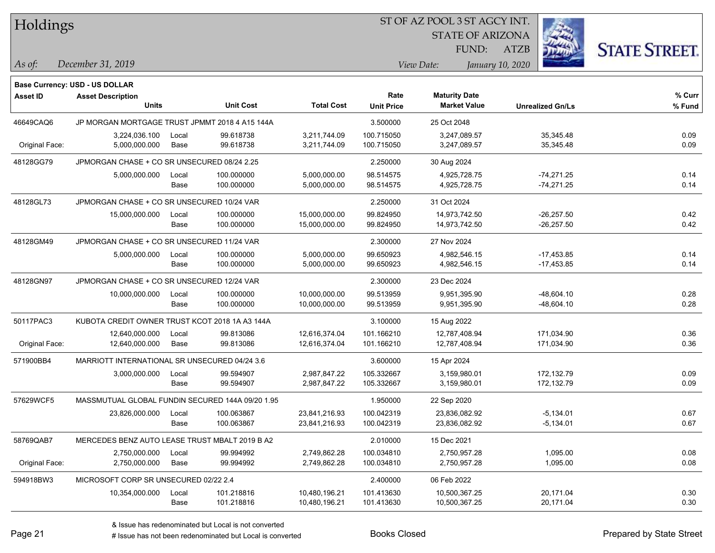| Holdings        |                                                  |               |                          |                                |                           | ST OF AZ POOL 3 ST AGCY INT.                |                              |                      |
|-----------------|--------------------------------------------------|---------------|--------------------------|--------------------------------|---------------------------|---------------------------------------------|------------------------------|----------------------|
|                 |                                                  |               |                          |                                |                           | <b>STATE OF ARIZONA</b>                     |                              |                      |
|                 |                                                  |               |                          |                                |                           | <b>FUND:</b>                                | <b>ATZB</b>                  | <b>STATE STREET.</b> |
| $\vert$ As of:  | December 31, 2019                                |               |                          |                                |                           | View Date:                                  | January 10, 2020             |                      |
|                 |                                                  |               |                          |                                |                           |                                             |                              |                      |
|                 | <b>Base Currency: USD - US DOLLAR</b>            |               |                          |                                |                           |                                             |                              |                      |
| <b>Asset ID</b> | <b>Asset Description</b><br><b>Units</b>         |               | <b>Unit Cost</b>         | <b>Total Cost</b>              | Rate<br><b>Unit Price</b> | <b>Maturity Date</b><br><b>Market Value</b> | <b>Unrealized Gn/Ls</b>      | % Curr<br>% Fund     |
|                 |                                                  |               |                          |                                |                           |                                             |                              |                      |
| 46649CAQ6       | JP MORGAN MORTGAGE TRUST JPMMT 2018 4 A15 144A   |               |                          |                                | 3.500000                  | 25 Oct 2048                                 |                              |                      |
| Original Face:  | 3,224,036.100<br>5,000,000.000                   | Local<br>Base | 99.618738<br>99.618738   | 3,211,744.09<br>3,211,744.09   | 100.715050<br>100.715050  | 3,247,089.57<br>3,247,089.57                | 35,345.48<br>35,345.48       | 0.09<br>0.09         |
|                 |                                                  |               |                          |                                |                           |                                             |                              |                      |
| 48128GG79       | JPMORGAN CHASE + CO SR UNSECURED 08/24 2.25      |               |                          |                                | 2.250000                  | 30 Aug 2024                                 |                              |                      |
|                 | 5,000,000.000                                    | Local<br>Base | 100.000000<br>100.000000 | 5,000,000.00<br>5,000,000.00   | 98.514575<br>98.514575    | 4,925,728.75<br>4,925,728.75                | $-74,271.25$<br>$-74,271.25$ | 0.14<br>0.14         |
|                 |                                                  |               |                          |                                |                           |                                             |                              |                      |
| 48128GL73       | JPMORGAN CHASE + CO SR UNSECURED 10/24 VAR       |               |                          |                                | 2.250000                  | 31 Oct 2024                                 |                              |                      |
|                 | 15,000,000.000                                   | Local<br>Base | 100.000000<br>100.000000 | 15,000,000.00<br>15,000,000.00 | 99.824950<br>99.824950    | 14,973,742.50<br>14,973,742.50              | $-26,257.50$<br>$-26,257.50$ | 0.42<br>0.42         |
|                 |                                                  |               |                          |                                |                           |                                             |                              |                      |
| 48128GM49       | JPMORGAN CHASE + CO SR UNSECURED 11/24 VAR       |               |                          |                                | 2.300000                  | 27 Nov 2024                                 |                              |                      |
|                 | 5,000,000.000                                    | Local         | 100.000000               | 5,000,000.00                   | 99.650923                 | 4,982,546.15                                | $-17,453.85$                 | 0.14                 |
|                 |                                                  | Base          | 100.000000               | 5,000,000.00                   | 99.650923                 | 4,982,546.15                                | $-17,453.85$                 | 0.14                 |
| 48128GN97       | JPMORGAN CHASE + CO SR UNSECURED 12/24 VAR       |               |                          |                                | 2.300000                  | 23 Dec 2024                                 |                              |                      |
|                 | 10,000,000.000                                   | Local         | 100.000000               | 10,000,000.00                  | 99.513959                 | 9,951,395.90                                | $-48,604.10$                 | 0.28                 |
|                 |                                                  | Base          | 100.000000               | 10,000,000.00                  | 99.513959                 | 9,951,395.90                                | -48,604.10                   | 0.28                 |
| 50117PAC3       | KUBOTA CREDIT OWNER TRUST KCOT 2018 1A A3 144A   |               |                          |                                | 3.100000                  | 15 Aug 2022                                 |                              |                      |
|                 | 12,640,000.000                                   | Local         | 99.813086                | 12,616,374.04                  | 101.166210                | 12,787,408.94                               | 171,034.90                   | 0.36                 |
| Original Face:  | 12,640,000.000                                   | Base          | 99.813086                | 12,616,374.04                  | 101.166210                | 12,787,408.94                               | 171,034.90                   | 0.36                 |
| 571900BB4       | MARRIOTT INTERNATIONAL SR UNSECURED 04/24 3.6    |               |                          |                                | 3.600000                  | 15 Apr 2024                                 |                              |                      |
|                 | 3,000,000.000                                    | Local         | 99.594907                | 2,987,847.22                   | 105.332667                | 3,159,980.01                                | 172,132.79                   | 0.09                 |
|                 |                                                  | Base          | 99.594907                | 2,987,847.22                   | 105.332667                | 3,159,980.01                                | 172,132.79                   | 0.09                 |
| 57629WCF5       | MASSMUTUAL GLOBAL FUNDIN SECURED 144A 09/20 1.95 |               |                          |                                | 1.950000                  | 22 Sep 2020                                 |                              |                      |
|                 | 23,826,000.000                                   | Local         | 100.063867               | 23,841,216.93                  | 100.042319                | 23,836,082.92                               | $-5,134.01$                  | 0.67                 |
|                 |                                                  | Base          | 100.063867               | 23,841,216.93                  | 100.042319                | 23,836,082.92                               | $-5,134.01$                  | 0.67                 |
| 58769QAB7       | MERCEDES BENZ AUTO LEASE TRUST MBALT 2019 B A2   |               |                          |                                | 2.010000                  | 15 Dec 2021                                 |                              |                      |
|                 | 2,750,000.000                                    | Local         | 99.994992                | 2,749,862.28                   | 100.034810                | 2,750,957.28                                | 1,095.00                     | 0.08                 |
| Original Face:  | 2,750,000.000                                    | Base          | 99.994992                | 2,749,862.28                   | 100.034810                | 2,750,957.28                                | 1,095.00                     | 0.08                 |
| 594918BW3       | MICROSOFT CORP SR UNSECURED 02/22 2.4            |               |                          |                                | 2.400000                  | 06 Feb 2022                                 |                              |                      |
|                 | 10,354,000.000                                   | Local         | 101.218816               | 10,480,196.21                  | 101.413630                | 10,500,367.25                               | 20,171.04                    | 0.30                 |
|                 |                                                  | Base          | 101.218816               | 10,480,196.21                  | 101.413630                | 10,500,367.25                               | 20,171.04                    | 0.30                 |

denote the redenominated but Local is converted Books Closed Prepared by State Street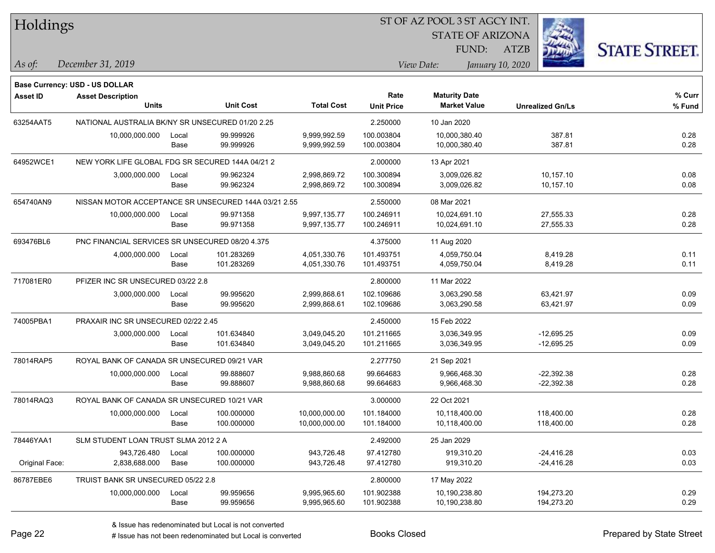| Holdings        |                                                      |       |                  |                   | ST OF AZ POOL 3 ST AGCY INT. |                                             |                  |                         |                      |
|-----------------|------------------------------------------------------|-------|------------------|-------------------|------------------------------|---------------------------------------------|------------------|-------------------------|----------------------|
|                 |                                                      |       |                  |                   |                              | <b>STATE OF ARIZONA</b>                     |                  |                         |                      |
|                 |                                                      |       |                  |                   |                              | FUND:                                       | <b>ATZB</b>      |                         | <b>STATE STREET.</b> |
| $\vert$ As of:  | December 31, 2019                                    |       |                  |                   |                              | View Date:                                  | January 10, 2020 |                         |                      |
|                 |                                                      |       |                  |                   |                              |                                             |                  |                         |                      |
|                 | <b>Base Currency: USD - US DOLLAR</b>                |       |                  |                   |                              |                                             |                  |                         |                      |
| <b>Asset ID</b> | <b>Asset Description</b><br><b>Units</b>             |       | <b>Unit Cost</b> | <b>Total Cost</b> | Rate<br><b>Unit Price</b>    | <b>Maturity Date</b><br><b>Market Value</b> |                  | <b>Unrealized Gn/Ls</b> | $%$ Curr<br>% Fund   |
| 63254AAT5       | NATIONAL AUSTRALIA BK/NY SR UNSECURED 01/20 2.25     |       |                  |                   | 2.250000                     | 10 Jan 2020                                 |                  |                         |                      |
|                 | 10,000,000.000                                       | Local | 99.999926        | 9,999,992.59      | 100.003804                   | 10,000,380.40                               |                  | 387.81                  | 0.28                 |
|                 |                                                      | Base  | 99.999926        | 9,999,992.59      | 100.003804                   | 10,000,380.40                               |                  | 387.81                  | 0.28                 |
| 64952WCE1       | NEW YORK LIFE GLOBAL FDG SR SECURED 144A 04/21 2     |       |                  |                   | 2.000000                     | 13 Apr 2021                                 |                  |                         |                      |
|                 | 3,000,000.000                                        | Local | 99.962324        | 2,998,869.72      | 100.300894                   | 3,009,026.82                                |                  | 10,157.10               | 0.08                 |
|                 |                                                      | Base  | 99.962324        | 2,998,869.72      | 100.300894                   | 3,009,026.82                                |                  | 10,157.10               | 0.08                 |
| 654740AN9       | NISSAN MOTOR ACCEPTANCE SR UNSECURED 144A 03/21 2.55 |       |                  |                   | 2.550000                     | 08 Mar 2021                                 |                  |                         |                      |
|                 | 10,000,000.000                                       | Local | 99.971358        | 9,997,135.77      | 100.246911                   | 10,024,691.10                               |                  | 27,555.33               | 0.28                 |
|                 |                                                      | Base  | 99.971358        | 9,997,135.77      | 100.246911                   | 10,024,691.10                               |                  | 27,555.33               | 0.28                 |
| 693476BL6       | PNC FINANCIAL SERVICES SR UNSECURED 08/20 4.375      |       |                  |                   | 4.375000                     | 11 Aug 2020                                 |                  |                         |                      |
|                 | 4,000,000.000                                        | Local | 101.283269       | 4,051,330.76      | 101.493751                   | 4,059,750.04                                |                  | 8,419.28                | 0.11                 |
|                 |                                                      | Base  | 101.283269       | 4,051,330.76      | 101.493751                   | 4,059,750.04                                |                  | 8,419.28                | 0.11                 |
| 717081ER0       | PFIZER INC SR UNSECURED 03/22 2.8                    |       |                  |                   | 2.800000                     | 11 Mar 2022                                 |                  |                         |                      |
|                 | 3,000,000.000                                        | Local | 99.995620        | 2,999,868.61      | 102.109686                   | 3,063,290.58                                |                  | 63,421.97               | 0.09                 |
|                 |                                                      | Base  | 99.995620        | 2,999,868.61      | 102.109686                   | 3,063,290.58                                |                  | 63,421.97               | 0.09                 |
| 74005PBA1       | PRAXAIR INC SR UNSECURED 02/22 2.45                  |       |                  |                   | 2.450000                     | 15 Feb 2022                                 |                  |                         |                      |
|                 | 3,000,000.000                                        | Local | 101.634840       | 3,049,045.20      | 101.211665                   | 3,036,349.95                                |                  | $-12,695.25$            | 0.09                 |
|                 |                                                      | Base  | 101.634840       | 3,049,045.20      | 101.211665                   | 3,036,349.95                                |                  | $-12,695.25$            | 0.09                 |
| 78014RAP5       | ROYAL BANK OF CANADA SR UNSECURED 09/21 VAR          |       |                  |                   | 2.277750                     | 21 Sep 2021                                 |                  |                         |                      |
|                 | 10,000,000.000                                       | Local | 99.888607        | 9,988,860.68      | 99.664683                    | 9,966,468.30                                |                  | $-22,392.38$            | 0.28                 |
|                 |                                                      | Base  | 99.888607        | 9,988,860.68      | 99.664683                    | 9,966,468.30                                |                  | $-22,392.38$            | 0.28                 |
| 78014RAQ3       | ROYAL BANK OF CANADA SR UNSECURED 10/21 VAR          |       |                  |                   | 3.000000                     | 22 Oct 2021                                 |                  |                         |                      |
|                 | 10,000,000.000                                       | Local | 100.000000       | 10,000,000.00     | 101.184000                   | 10,118,400.00                               |                  | 118,400.00              | 0.28                 |
|                 |                                                      | Base  | 100.000000       | 10,000,000.00     | 101.184000                   | 10,118,400.00                               |                  | 118,400.00              | 0.28                 |
| 78446YAA1       | SLM STUDENT LOAN TRUST SLMA 2012 2 A                 |       |                  |                   | 2.492000                     | 25 Jan 2029                                 |                  |                         |                      |
|                 | 943,726.480                                          | Local | 100.000000       | 943,726.48        | 97.412780                    | 919,310.20                                  |                  | $-24,416.28$            | 0.03                 |
| Original Face:  | 2,838,688.000                                        | Base  | 100.000000       | 943,726.48        | 97.412780                    | 919,310.20                                  |                  | $-24,416.28$            | 0.03                 |
| 86787EBE6       | TRUIST BANK SR UNSECURED 05/22 2.8                   |       |                  |                   | 2.800000                     | 17 May 2022                                 |                  |                         |                      |
|                 | 10,000,000.000                                       | Local | 99.959656        | 9,995,965.60      | 101.902388                   | 10,190,238.80                               |                  | 194,273.20              | 0.29                 |
|                 |                                                      | Base  | 99.959656        | 9,995,965.60      | 101.902388                   | 10,190,238.80                               |                  | 194,273.20              | 0.29                 |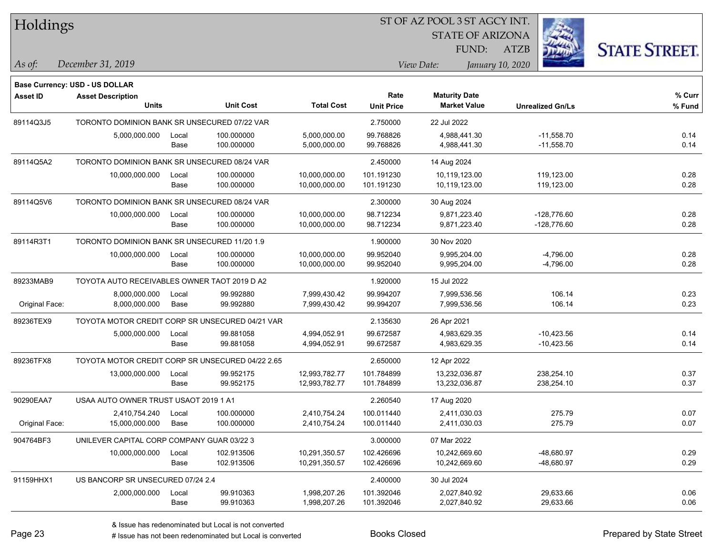| Holdings        |                                                  |       |                  |                   |                   | ST OF AZ POOL 3 ST AGCY INT. |                         |                      |
|-----------------|--------------------------------------------------|-------|------------------|-------------------|-------------------|------------------------------|-------------------------|----------------------|
|                 |                                                  |       |                  |                   |                   | <b>STATE OF ARIZONA</b>      |                         |                      |
|                 |                                                  |       |                  |                   |                   | FUND:                        | <b>ATZB</b>             | <b>STATE STREET.</b> |
| As of:          | December 31, 2019                                |       |                  |                   |                   | View Date:                   | January 10, 2020        |                      |
|                 | Base Currency: USD - US DOLLAR                   |       |                  |                   |                   |                              |                         |                      |
| <b>Asset ID</b> | <b>Asset Description</b>                         |       |                  |                   | Rate              | <b>Maturity Date</b>         |                         | $%$ Curr             |
|                 | <b>Units</b>                                     |       | <b>Unit Cost</b> | <b>Total Cost</b> | <b>Unit Price</b> | <b>Market Value</b>          | <b>Unrealized Gn/Ls</b> | % Fund               |
| 89114Q3J5       | TORONTO DOMINION BANK SR UNSECURED 07/22 VAR     |       |                  |                   | 2.750000          | 22 Jul 2022                  |                         |                      |
|                 | 5,000,000.000                                    | Local | 100.000000       | 5,000,000.00      | 99.768826         | 4,988,441.30                 | $-11,558.70$            | 0.14                 |
|                 |                                                  | Base  | 100.000000       | 5,000,000.00      | 99.768826         | 4,988,441.30                 | $-11,558.70$            | 0.14                 |
| 89114Q5A2       | TORONTO DOMINION BANK SR UNSECURED 08/24 VAR     |       |                  |                   | 2.450000          | 14 Aug 2024                  |                         |                      |
|                 | 10,000,000.000                                   | Local | 100.000000       | 10,000,000.00     | 101.191230        | 10,119,123.00                | 119,123.00              | 0.28                 |
|                 |                                                  | Base  | 100.000000       | 10,000,000.00     | 101.191230        | 10,119,123.00                | 119,123.00              | 0.28                 |
| 89114Q5V6       | TORONTO DOMINION BANK SR UNSECURED 08/24 VAR     |       |                  |                   | 2.300000          | 30 Aug 2024                  |                         |                      |
|                 | 10,000,000.000                                   | Local | 100.000000       | 10,000,000.00     | 98.712234         | 9,871,223.40                 | $-128,776.60$           | 0.28                 |
|                 |                                                  | Base  | 100.000000       | 10,000,000.00     | 98.712234         | 9,871,223.40                 | $-128,776.60$           | 0.28                 |
| 89114R3T1       | TORONTO DOMINION BANK SR UNSECURED 11/20 1.9     |       |                  |                   | 1.900000          | 30 Nov 2020                  |                         |                      |
|                 | 10,000,000.000                                   | Local | 100.000000       | 10,000,000.00     | 99.952040         | 9,995,204.00                 | $-4,796.00$             | 0.28                 |
|                 |                                                  | Base  | 100.000000       | 10,000,000.00     | 99.952040         | 9,995,204.00                 | $-4,796.00$             | 0.28                 |
| 89233MAB9       | TOYOTA AUTO RECEIVABLES OWNER TAOT 2019 D A2     |       |                  |                   | 1.920000          | 15 Jul 2022                  |                         |                      |
|                 | 8,000,000.000                                    | Local | 99.992880        | 7,999,430.42      | 99.994207         | 7,999,536.56                 | 106.14                  | 0.23                 |
| Original Face:  | 8,000,000.000                                    | Base  | 99.992880        | 7,999,430.42      | 99.994207         | 7,999,536.56                 | 106.14                  | 0.23                 |
| 89236TEX9       | TOYOTA MOTOR CREDIT CORP SR UNSECURED 04/21 VAR  |       |                  |                   | 2.135630          | 26 Apr 2021                  |                         |                      |
|                 | 5,000,000.000                                    | Local | 99.881058        | 4,994,052.91      | 99.672587         | 4,983,629.35                 | $-10,423.56$            | 0.14                 |
|                 |                                                  | Base  | 99.881058        | 4,994,052.91      | 99.672587         | 4,983,629.35                 | $-10,423.56$            | 0.14                 |
| 89236TFX8       | TOYOTA MOTOR CREDIT CORP SR UNSECURED 04/22 2.65 |       |                  |                   | 2.650000          | 12 Apr 2022                  |                         |                      |
|                 | 13,000,000.000                                   | Local | 99.952175        | 12,993,782.77     | 101.784899        | 13,232,036.87                | 238,254.10              | 0.37                 |
|                 |                                                  | Base  | 99.952175        | 12,993,782.77     | 101.784899        | 13,232,036.87                | 238,254.10              | 0.37                 |
| 90290EAA7       | USAA AUTO OWNER TRUST USAOT 2019 1 A1            |       |                  |                   | 2.260540          | 17 Aug 2020                  |                         |                      |
|                 | 2,410,754.240                                    | Local | 100.000000       | 2,410,754.24      | 100.011440        | 2,411,030.03                 | 275.79                  | 0.07                 |
| Original Face:  | 15,000,000.000                                   | Base  | 100.000000       | 2,410,754.24      | 100.011440        | 2,411,030.03                 | 275.79                  | 0.07                 |
| 904764BF3       | UNILEVER CAPITAL CORP COMPANY GUAR 03/22 3       |       |                  |                   | 3.000000          | 07 Mar 2022                  |                         |                      |
|                 | 10,000,000.000                                   | Local | 102.913506       | 10,291,350.57     | 102.426696        | 10,242,669.60                | -48,680.97              | 0.29                 |
|                 |                                                  | Base  | 102.913506       | 10,291,350.57     | 102.426696        | 10,242,669.60                | -48,680.97              | 0.29                 |
| 91159HHX1       | US BANCORP SR UNSECURED 07/24 2.4                |       |                  |                   | 2.400000          | 30 Jul 2024                  |                         |                      |
|                 | 2,000,000.000                                    | Local | 99.910363        | 1,998,207.26      | 101.392046        | 2,027,840.92                 | 29,633.66               | 0.06                 |
|                 |                                                  | Base  | 99.910363        | 1,998,207.26      | 101.392046        | 2,027,840.92                 | 29,633.66               | 0.06                 |

denote the redenominated but Local is converted Books Closed Prepared by State Street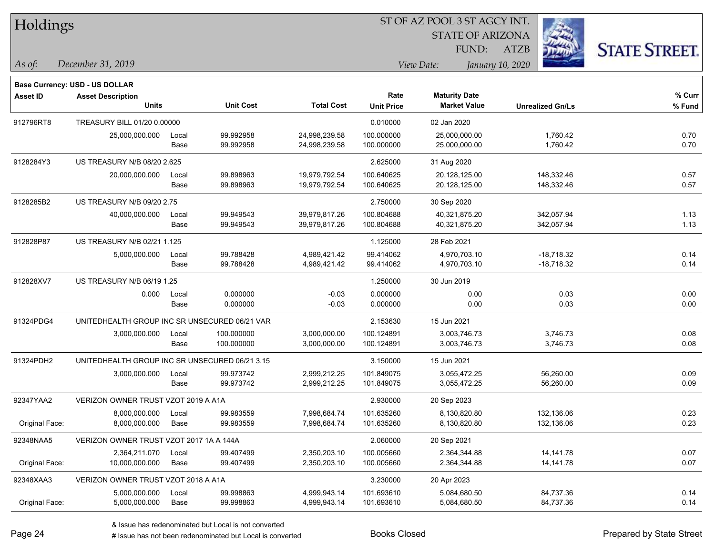| Holdings        |                                                |       |                  |                   | ST OF AZ POOL 3 ST AGCY INT. |                         |                         |                      |  |  |
|-----------------|------------------------------------------------|-------|------------------|-------------------|------------------------------|-------------------------|-------------------------|----------------------|--|--|
|                 |                                                |       |                  |                   |                              | <b>STATE OF ARIZONA</b> |                         |                      |  |  |
|                 |                                                |       |                  |                   |                              | FUND:                   | فللطف<br>ATZB           | <b>STATE STREET.</b> |  |  |
| As of:          | December 31, 2019                              |       |                  |                   |                              | View Date:              | January 10, 2020        |                      |  |  |
|                 | <b>Base Currency: USD - US DOLLAR</b>          |       |                  |                   |                              |                         |                         |                      |  |  |
| <b>Asset ID</b> | <b>Asset Description</b>                       |       |                  |                   | Rate                         | <b>Maturity Date</b>    |                         | % Curr               |  |  |
|                 | <b>Units</b>                                   |       | <b>Unit Cost</b> | <b>Total Cost</b> | <b>Unit Price</b>            | <b>Market Value</b>     | <b>Unrealized Gn/Ls</b> | % Fund               |  |  |
| 912796RT8       | TREASURY BILL 01/20 0.00000                    |       |                  |                   | 0.010000                     | 02 Jan 2020             |                         |                      |  |  |
|                 | 25,000,000.000                                 | Local | 99.992958        | 24,998,239.58     | 100.000000                   | 25,000,000.00           | 1,760.42                | 0.70                 |  |  |
|                 |                                                | Base  | 99.992958        | 24,998,239.58     | 100.000000                   | 25,000,000.00           | 1,760.42                | 0.70                 |  |  |
| 9128284Y3       | US TREASURY N/B 08/20 2.625                    |       |                  |                   | 2.625000                     | 31 Aug 2020             |                         |                      |  |  |
|                 | 20,000,000.000                                 | Local | 99.898963        | 19,979,792.54     | 100.640625                   | 20,128,125.00           | 148,332.46              | 0.57                 |  |  |
|                 |                                                | Base  | 99.898963        | 19,979,792.54     | 100.640625                   | 20,128,125.00           | 148,332.46              | 0.57                 |  |  |
| 9128285B2       | US TREASURY N/B 09/20 2.75                     |       |                  |                   | 2.750000                     | 30 Sep 2020             |                         |                      |  |  |
|                 | 40,000,000.000                                 | Local | 99.949543        | 39,979,817.26     | 100.804688                   | 40,321,875.20           | 342,057.94              | 1.13                 |  |  |
|                 |                                                | Base  | 99.949543        | 39,979,817.26     | 100.804688                   | 40,321,875.20           | 342,057.94              | 1.13                 |  |  |
| 912828P87       | US TREASURY N/B 02/21 1.125                    |       |                  |                   | 1.125000                     | 28 Feb 2021             |                         |                      |  |  |
|                 | 5,000,000.000                                  | Local | 99.788428        | 4,989,421.42      | 99.414062                    | 4,970,703.10            | $-18,718.32$            | 0.14                 |  |  |
|                 |                                                | Base  | 99.788428        | 4,989,421.42      | 99.414062                    | 4,970,703.10            | -18,718.32              | 0.14                 |  |  |
| 912828XV7       | US TREASURY N/B 06/19 1.25                     |       |                  |                   | 1.250000                     | 30 Jun 2019             |                         |                      |  |  |
|                 | 0.000                                          | Local | 0.000000         | $-0.03$           | 0.000000                     | 0.00                    | 0.03                    | 0.00                 |  |  |
|                 |                                                | Base  | 0.000000         | $-0.03$           | 0.000000                     | 0.00                    | 0.03                    | 0.00                 |  |  |
| 91324PDG4       | UNITEDHEALTH GROUP INC SR UNSECURED 06/21 VAR  |       |                  |                   | 2.153630                     | 15 Jun 2021             |                         |                      |  |  |
|                 | 3,000,000.000                                  | Local | 100.000000       | 3,000,000.00      | 100.124891                   | 3,003,746.73            | 3,746.73                | 0.08                 |  |  |
|                 |                                                | Base  | 100.000000       | 3,000,000.00      | 100.124891                   | 3,003,746.73            | 3,746.73                | 0.08                 |  |  |
| 91324PDH2       | UNITEDHEALTH GROUP INC SR UNSECURED 06/21 3.15 |       |                  |                   | 3.150000                     | 15 Jun 2021             |                         |                      |  |  |
|                 | 3,000,000.000                                  | Local | 99.973742        | 2,999,212.25      | 101.849075                   | 3,055,472.25            | 56,260.00               | 0.09                 |  |  |
|                 |                                                | Base  | 99.973742        | 2,999,212.25      | 101.849075                   | 3,055,472.25            | 56,260.00               | 0.09                 |  |  |
| 92347YAA2       | VERIZON OWNER TRUST VZOT 2019 A A1A            |       |                  |                   | 2.930000                     | 20 Sep 2023             |                         |                      |  |  |
|                 | 8,000,000.000 Local                            |       | 99.983559        | 7,998,684.74      | 101.635260                   | 8,130,820.80            | 132,136.06              | 0.23                 |  |  |
| Original Face:  | 8,000,000.000                                  | Base  | 99.983559        | 7,998,684.74      | 101.635260                   | 8,130,820.80            | 132,136.06              | 0.23                 |  |  |
| 92348NAA5       | VERIZON OWNER TRUST VZOT 2017 1A A 144A        |       |                  |                   | 2.060000                     | 20 Sep 2021             |                         |                      |  |  |
|                 | 2,364,211.070                                  | Local | 99.407499        | 2,350,203.10      | 100.005660                   | 2,364,344.88            | 14, 141. 78             | 0.07                 |  |  |
| Original Face:  | 10,000,000.000                                 | Base  | 99.407499        | 2,350,203.10      | 100.005660                   | 2,364,344.88            | 14,141.78               | 0.07                 |  |  |
| 92348XAA3       | VERIZON OWNER TRUST VZOT 2018 A A1A            |       |                  |                   | 3.230000                     | 20 Apr 2023             |                         |                      |  |  |
|                 | 5,000,000.000                                  | Local | 99.998863        | 4,999,943.14      | 101.693610                   | 5,084,680.50            | 84,737.36               | 0.14                 |  |  |
| Original Face:  | 5,000,000.000                                  | Base  | 99.998863        | 4,999,943.14      | 101.693610                   | 5,084,680.50            | 84,737.36               | 0.14                 |  |  |

L

 $\overline{\phantom{0}}$ 

 $\overline{\phantom{0}}$ 

 $\overline{\phantom{0}}$ 

 $\overline{\phantom{0}}$ 

 $\overline{\phantom{0}}$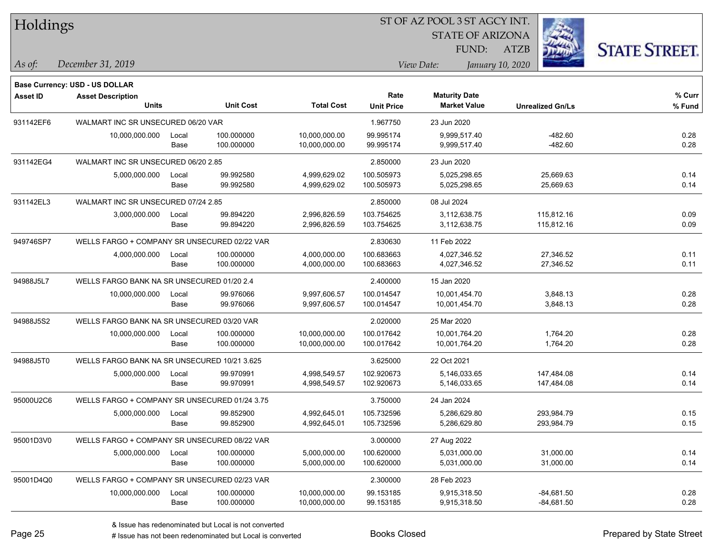| Holdings        |                                               |               |                  |                   |                           | ST OF AZ POOL 3 ST AGCY INT.                |                         |                         |                      |
|-----------------|-----------------------------------------------|---------------|------------------|-------------------|---------------------------|---------------------------------------------|-------------------------|-------------------------|----------------------|
|                 |                                               |               |                  |                   |                           |                                             | <b>STATE OF ARIZONA</b> |                         |                      |
|                 |                                               |               |                  |                   |                           | FUND:                                       | <b>ATZB</b>             |                         | <b>STATE STREET.</b> |
| As of:          | December 31, 2019                             |               |                  |                   |                           | View Date:                                  | January 10, 2020        |                         |                      |
|                 | <b>Base Currency: USD - US DOLLAR</b>         |               |                  |                   |                           |                                             |                         |                         |                      |
| <b>Asset ID</b> | <b>Asset Description</b><br><b>Units</b>      |               | <b>Unit Cost</b> | <b>Total Cost</b> | Rate<br><b>Unit Price</b> | <b>Maturity Date</b><br><b>Market Value</b> |                         | <b>Unrealized Gn/Ls</b> | % Curr<br>% Fund     |
|                 | WALMART INC SR UNSECURED 06/20 VAR            |               |                  |                   |                           |                                             |                         |                         |                      |
| 931142EF6       |                                               |               | 100.000000       | 10,000,000.00     | 1.967750<br>99.995174     | 23 Jun 2020<br>9,999,517.40                 |                         | $-482.60$               | 0.28                 |
|                 | 10,000,000.000                                | Local<br>Base | 100.000000       | 10,000,000.00     | 99.995174                 | 9,999,517.40                                |                         | $-482.60$               | 0.28                 |
| 931142EG4       | WALMART INC SR UNSECURED 06/20 2.85           |               |                  |                   | 2.850000                  | 23 Jun 2020                                 |                         |                         |                      |
|                 | 5,000,000.000                                 | Local         | 99.992580        | 4,999,629.02      | 100.505973                | 5,025,298.65                                |                         | 25,669.63               | 0.14                 |
|                 |                                               | Base          | 99.992580        | 4,999,629.02      | 100.505973                | 5,025,298.65                                |                         | 25,669.63               | 0.14                 |
| 931142EL3       | WALMART INC SR UNSECURED 07/24 2.85           |               |                  |                   | 2.850000                  | 08 Jul 2024                                 |                         |                         |                      |
|                 | 3,000,000.000                                 | Local         | 99.894220        | 2,996,826.59      | 103.754625                | 3,112,638.75                                |                         | 115,812.16              | 0.09                 |
|                 |                                               | Base          | 99.894220        | 2,996,826.59      | 103.754625                | 3,112,638.75                                |                         | 115,812.16              | 0.09                 |
| 949746SP7       | WELLS FARGO + COMPANY SR UNSECURED 02/22 VAR  |               |                  |                   | 2.830630                  | 11 Feb 2022                                 |                         |                         |                      |
|                 | 4,000,000.000                                 | Local         | 100.000000       | 4,000,000.00      | 100.683663                | 4,027,346.52                                |                         | 27,346.52               | 0.11                 |
|                 |                                               | Base          | 100.000000       | 4,000,000.00      | 100.683663                | 4,027,346.52                                |                         | 27,346.52               | 0.11                 |
| 94988J5L7       | WELLS FARGO BANK NA SR UNSECURED 01/20 2.4    |               |                  |                   | 2.400000                  | 15 Jan 2020                                 |                         |                         |                      |
|                 | 10,000,000.000                                | Local         | 99.976066        | 9,997,606.57      | 100.014547                | 10,001,454.70                               |                         | 3,848.13                | 0.28                 |
|                 |                                               | Base          | 99.976066        | 9,997,606.57      | 100.014547                | 10,001,454.70                               |                         | 3,848.13                | 0.28                 |
| 94988J5S2       | WELLS FARGO BANK NA SR UNSECURED 03/20 VAR    |               |                  |                   | 2.020000                  | 25 Mar 2020                                 |                         |                         |                      |
|                 | 10,000,000.000                                | Local         | 100.000000       | 10,000,000.00     | 100.017642                | 10,001,764.20                               |                         | 1,764.20                | 0.28                 |
|                 |                                               | Base          | 100.000000       | 10,000,000.00     | 100.017642                | 10,001,764.20                               |                         | 1,764.20                | 0.28                 |
| 94988J5T0       | WELLS FARGO BANK NA SR UNSECURED 10/21 3.625  |               |                  |                   | 3.625000                  | 22 Oct 2021                                 |                         |                         |                      |
|                 | 5,000,000.000                                 | Local         | 99.970991        | 4,998,549.57      | 102.920673                | 5,146,033.65                                |                         | 147,484.08              | 0.14                 |
|                 |                                               | Base          | 99.970991        | 4,998,549.57      | 102.920673                | 5,146,033.65                                |                         | 147,484.08              | 0.14                 |
| 95000U2C6       | WELLS FARGO + COMPANY SR UNSECURED 01/24 3.75 |               |                  |                   | 3.750000                  | 24 Jan 2024                                 |                         |                         |                      |
|                 | 5,000,000.000                                 | Local         | 99.852900        | 4,992,645.01      | 105.732596                | 5,286,629.80                                |                         | 293,984.79              | 0.15                 |
|                 |                                               | Base          | 99.852900        | 4,992,645.01      | 105.732596                | 5,286,629.80                                |                         | 293,984.79              | 0.15                 |
| 95001D3V0       | WELLS FARGO + COMPANY SR UNSECURED 08/22 VAR  |               |                  |                   | 3.000000                  | 27 Aug 2022                                 |                         |                         |                      |
|                 | 5,000,000.000                                 | Local         | 100.000000       | 5,000,000.00      | 100.620000                | 5,031,000.00                                |                         | 31,000.00               | 0.14                 |
|                 |                                               | Base          | 100.000000       | 5,000,000.00      | 100.620000                | 5,031,000.00                                |                         | 31,000.00               | 0.14                 |
| 95001D4Q0       | WELLS FARGO + COMPANY SR UNSECURED 02/23 VAR  |               |                  |                   | 2.300000                  | 28 Feb 2023                                 |                         |                         |                      |
|                 | 10,000,000.000                                | Local         | 100.000000       | 10,000,000.00     | 99.153185                 | 9,915,318.50                                |                         | $-84,681.50$            | 0.28                 |
|                 |                                               | Base          | 100.000000       | 10,000,000.00     | 99.153185                 | 9,915,318.50                                |                         | $-84,681.50$            | 0.28                 |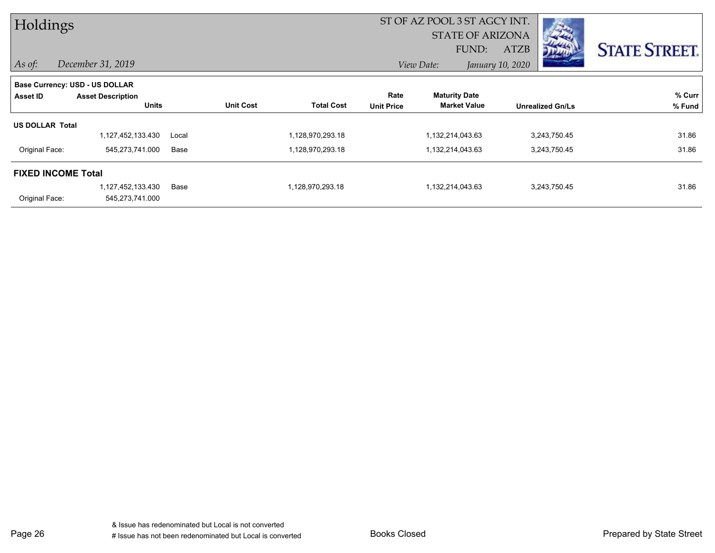| Holdings                       |                          |       |                  |                   | ST OF AZ POOL 3 ST AGCY INT. |                      |                  |                         |                      |
|--------------------------------|--------------------------|-------|------------------|-------------------|------------------------------|----------------------|------------------|-------------------------|----------------------|
|                                |                          |       |                  |                   |                              |                      |                  |                         |                      |
|                                |                          |       |                  |                   |                              | FUND:                | ATZB             | $\mu_{\mu\nu}$          | <b>STATE STREET.</b> |
| $\vert$ As of:                 | December 31, 2019        |       |                  |                   |                              | View Date:           | January 10, 2020 |                         |                      |
| Base Currency: USD - US DOLLAR |                          |       |                  |                   |                              |                      |                  |                         |                      |
| Asset ID                       | <b>Asset Description</b> |       |                  |                   | Rate                         | <b>Maturity Date</b> |                  |                         | % Curr               |
|                                | <b>Units</b>             |       | <b>Unit Cost</b> | <b>Total Cost</b> | <b>Unit Price</b>            | <b>Market Value</b>  |                  | <b>Unrealized Gn/Ls</b> | % Fund               |
| <b>US DOLLAR Total</b>         |                          |       |                  |                   |                              |                      |                  |                         |                      |
|                                | 1,127,452,133.430        | Local |                  | 1,128,970,293.18  |                              | 1,132,214,043.63     |                  | 3,243,750.45            | 31.86                |
| Original Face:                 | 545,273,741.000          | Base  |                  | 1,128,970,293.18  |                              | 1,132,214,043.63     |                  | 3,243,750.45            | 31.86                |
| <b>FIXED INCOME Total</b>      |                          |       |                  |                   |                              |                      |                  |                         |                      |
|                                | 1,127,452,133.430        | Base  |                  | 1,128,970,293.18  |                              | 1,132,214,043.63     |                  | 3,243,750.45            | 31.86                |
| Original Face:                 | 545,273,741.000          |       |                  |                   |                              |                      |                  |                         |                      |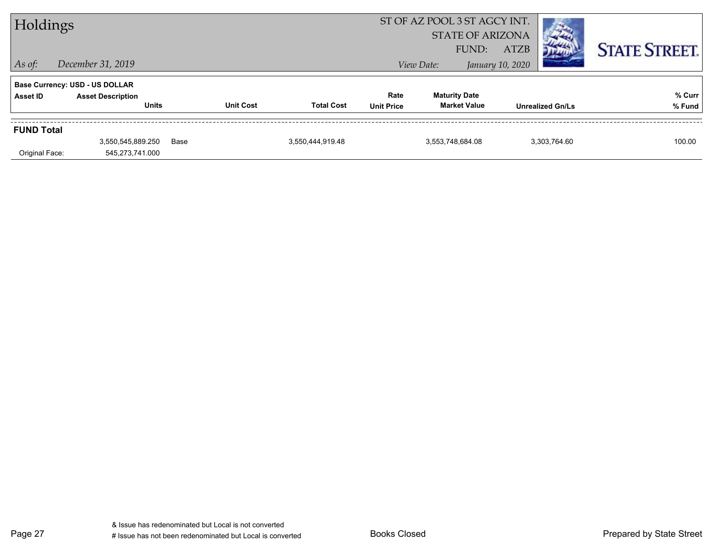| Holdings                            |                                                                            |      |                  | ST OF AZ POOL 3 ST AGCY INT.<br><b>STATE OF ARIZONA</b> |                           |                                             |                                 |                         |                      |
|-------------------------------------|----------------------------------------------------------------------------|------|------------------|---------------------------------------------------------|---------------------------|---------------------------------------------|---------------------------------|-------------------------|----------------------|
| $ $ As of:                          | December 31, 2019                                                          |      |                  |                                                         |                           | FUND:<br>View Date:                         | <b>ATZB</b><br>January 10, 2020 |                         | <b>STATE STREET.</b> |
| Asset ID                            | Base Currency: USD - US DOLLAR<br><b>Asset Description</b><br><b>Units</b> |      | <b>Unit Cost</b> | <b>Total Cost</b>                                       | Rate<br><b>Unit Price</b> | <b>Maturity Date</b><br><b>Market Value</b> |                                 | <b>Unrealized Gn/Ls</b> | % Curr<br>% Fund     |
| <b>FUND Total</b><br>Original Face: | 3,550,545,889.250<br>545,273,741.000                                       | Base |                  | 3,550,444,919.48                                        |                           | 3,553,748,684.08                            |                                 | 3.303.764.60            | 100.00               |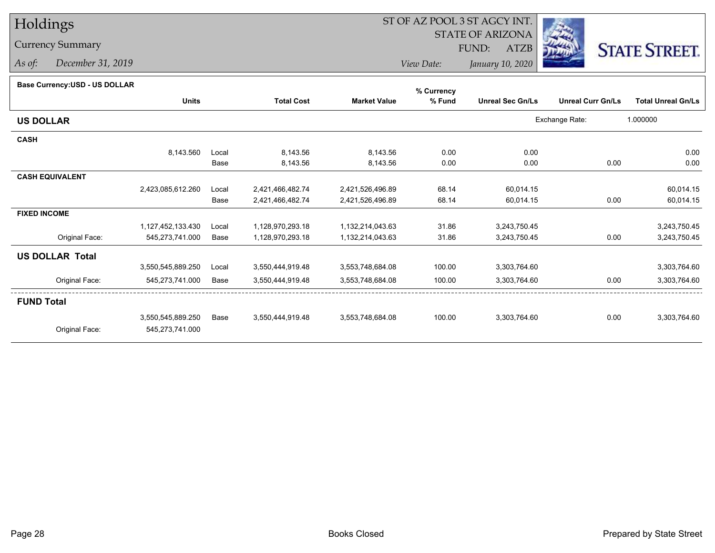### Currency Summary

*As of: December 31, 2019*

## ST OF AZ POOL 3 ST AGCY INT.

 STATE OF ARIZONAFUND:

ATZB



*View Date:January 10, 2020*

| Base Currency: USD - US DOLLAR |  |
|--------------------------------|--|

| base currency.cop - oo bollenn |                   |       |                   |                     | % Currency |                         |                          |                           |
|--------------------------------|-------------------|-------|-------------------|---------------------|------------|-------------------------|--------------------------|---------------------------|
|                                | <b>Units</b>      |       | <b>Total Cost</b> | <b>Market Value</b> | % Fund     | <b>Unreal Sec Gn/Ls</b> | <b>Unreal Curr Gn/Ls</b> | <b>Total Unreal Gn/Ls</b> |
| <b>US DOLLAR</b>               |                   |       |                   |                     |            |                         | Exchange Rate:           | 1.000000                  |
| <b>CASH</b>                    |                   |       |                   |                     |            |                         |                          |                           |
|                                | 8,143.560         | Local | 8,143.56          | 8,143.56            | 0.00       | 0.00                    |                          | 0.00                      |
|                                |                   | Base  | 8,143.56          | 8,143.56            | 0.00       | 0.00                    | 0.00                     | 0.00                      |
| <b>CASH EQUIVALENT</b>         |                   |       |                   |                     |            |                         |                          |                           |
|                                | 2,423,085,612.260 | Local | 2,421,466,482.74  | 2,421,526,496.89    | 68.14      | 60,014.15               |                          | 60,014.15                 |
|                                |                   | Base  | 2,421,466,482.74  | 2,421,526,496.89    | 68.14      | 60,014.15               | 0.00                     | 60,014.15                 |
| <b>FIXED INCOME</b>            |                   |       |                   |                     |            |                         |                          |                           |
|                                | 1,127,452,133.430 | Local | 1,128,970,293.18  | 1,132,214,043.63    | 31.86      | 3,243,750.45            |                          | 3,243,750.45              |
| Original Face:                 | 545,273,741.000   | Base  | 1,128,970,293.18  | 1,132,214,043.63    | 31.86      | 3,243,750.45            | 0.00                     | 3,243,750.45              |
| <b>US DOLLAR Total</b>         |                   |       |                   |                     |            |                         |                          |                           |
|                                | 3,550,545,889.250 | Local | 3,550,444,919.48  | 3,553,748,684.08    | 100.00     | 3,303,764.60            |                          | 3,303,764.60              |
| Original Face:                 | 545,273,741.000   | Base  | 3,550,444,919.48  | 3,553,748,684.08    | 100.00     | 3,303,764.60            | 0.00                     | 3,303,764.60              |
| <b>FUND Total</b>              |                   |       |                   |                     |            |                         |                          |                           |
|                                | 3,550,545,889.250 | Base  | 3,550,444,919.48  | 3,553,748,684.08    | 100.00     | 3,303,764.60            | 0.00                     | 3,303,764.60              |
| Original Face:                 | 545,273,741.000   |       |                   |                     |            |                         |                          |                           |
|                                |                   |       |                   |                     |            |                         |                          |                           |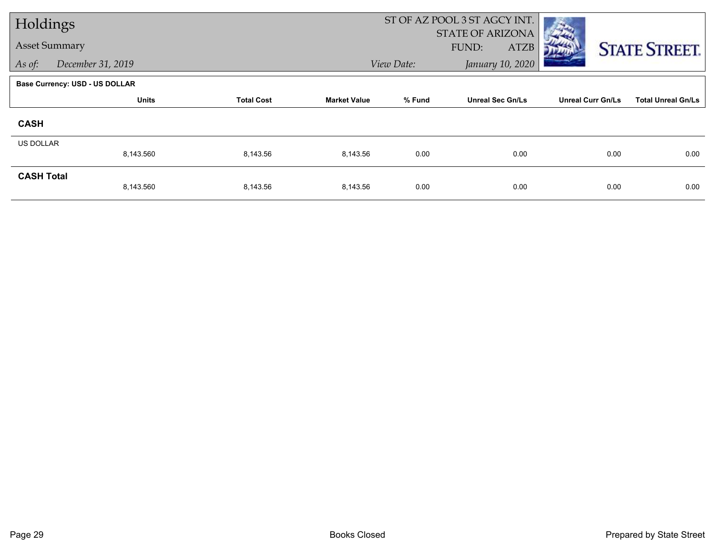| Holdings                    |                                       |          |                                | ST OF AZ POOL 3 ST AGCY INT. |                                   |                          |                           |
|-----------------------------|---------------------------------------|----------|--------------------------------|------------------------------|-----------------------------------|--------------------------|---------------------------|
| <b>Asset Summary</b>        |                                       |          |                                |                              | STATE OF ARIZONA<br>FUND:<br>ATZB |                          |                           |
| As of:<br>December 31, 2019 |                                       |          | January 10, 2020<br>View Date: |                              |                                   | <b>STATE STREET.</b>     |                           |
|                             | <b>Base Currency: USD - US DOLLAR</b> |          |                                |                              |                                   |                          |                           |
|                             | <b>Units</b><br><b>Total Cost</b>     |          | <b>Market Value</b>            | % Fund                       | <b>Unreal Sec Gn/Ls</b>           | <b>Unreal Curr Gn/Ls</b> | <b>Total Unreal Gn/Ls</b> |
| <b>CASH</b>                 |                                       |          |                                |                              |                                   |                          |                           |
| US DOLLAR                   |                                       |          |                                |                              |                                   |                          |                           |
|                             | 8,143.560                             | 8,143.56 | 8,143.56                       | 0.00                         | 0.00                              | 0.00                     | 0.00                      |
| <b>CASH Total</b>           |                                       |          |                                |                              |                                   |                          |                           |
|                             | 8,143.560                             | 8,143.56 | 8,143.56                       | 0.00                         | 0.00                              | 0.00                     | 0.00                      |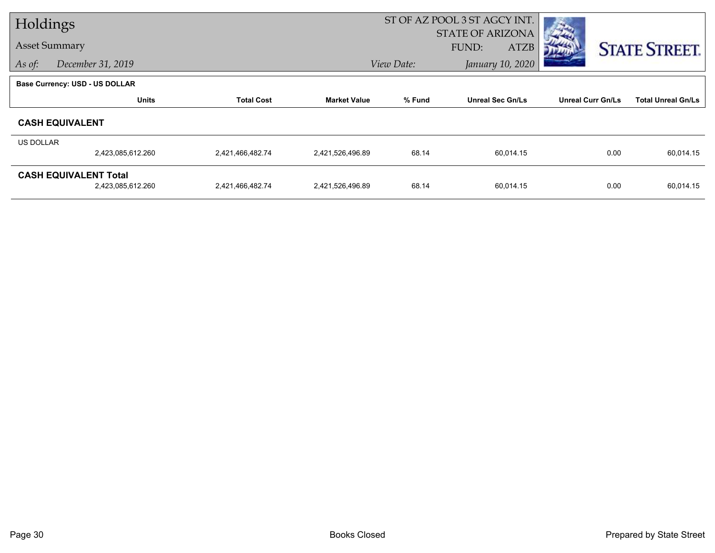| Holdings         |                                       |                   | ST OF AZ POOL 3 ST AGCY INT. |                                |                         |                          |                           |
|------------------|---------------------------------------|-------------------|------------------------------|--------------------------------|-------------------------|--------------------------|---------------------------|
|                  |                                       |                   |                              |                                | <b>STATE OF ARIZONA</b> |                          |                           |
|                  | <b>Asset Summary</b>                  |                   |                              |                                | <b>ATZB</b><br>FUND:    |                          | <b>STATE STREET.</b>      |
| As of:           | December 31, 2019                     |                   |                              | January 10, 2020<br>View Date: |                         |                          |                           |
|                  | <b>Base Currency: USD - US DOLLAR</b> |                   |                              |                                |                         |                          |                           |
|                  | <b>Units</b>                          | <b>Total Cost</b> | <b>Market Value</b>          | % Fund                         | <b>Unreal Sec Gn/Ls</b> | <b>Unreal Curr Gn/Ls</b> | <b>Total Unreal Gn/Ls</b> |
|                  | <b>CASH EQUIVALENT</b>                |                   |                              |                                |                         |                          |                           |
| <b>US DOLLAR</b> |                                       |                   |                              |                                |                         |                          |                           |
|                  | 2,423,085,612.260                     | 2,421,466,482.74  | 2,421,526,496.89             | 68.14                          | 60,014.15               | 0.00                     | 60,014.15                 |
|                  | <b>CASH EQUIVALENT Total</b>          |                   |                              |                                |                         |                          |                           |
|                  | 2,423,085,612.260                     | 2,421,466,482.74  | 2,421,526,496.89             | 68.14                          | 60,014.15               | 0.00                     | 60,014.15                 |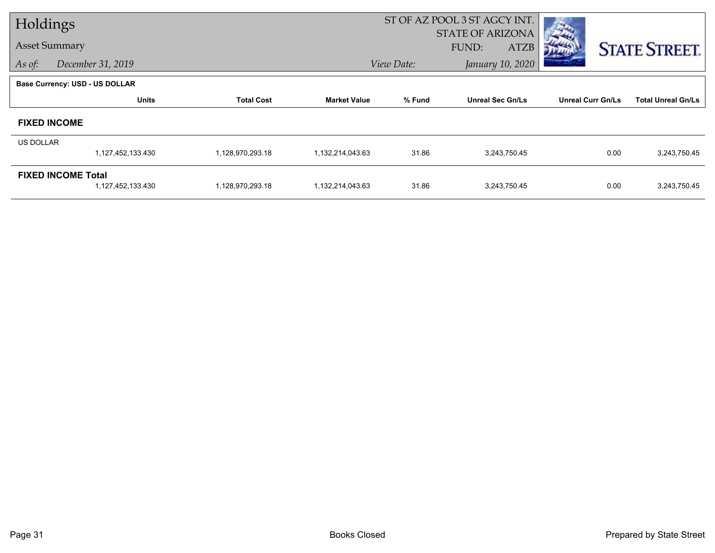| Holdings             |                                       |                   | ST OF AZ POOL 3 ST AGCY INT. |            |                                                 |                          |                           |
|----------------------|---------------------------------------|-------------------|------------------------------|------------|-------------------------------------------------|--------------------------|---------------------------|
| <b>Asset Summary</b> |                                       |                   |                              |            | <b>STATE OF ARIZONA</b><br>FUND:<br><b>ATZB</b> |                          | <b>STATE STREET.</b>      |
| As of:               | December 31, 2019                     |                   |                              | View Date: | January 10, 2020                                |                          |                           |
|                      | <b>Base Currency: USD - US DOLLAR</b> |                   |                              |            |                                                 |                          |                           |
|                      | <b>Units</b>                          | <b>Total Cost</b> | <b>Market Value</b>          | % Fund     | <b>Unreal Sec Gn/Ls</b>                         | <b>Unreal Curr Gn/Ls</b> | <b>Total Unreal Gn/Ls</b> |
|                      | <b>FIXED INCOME</b>                   |                   |                              |            |                                                 |                          |                           |
| <b>US DOLLAR</b>     |                                       |                   |                              |            |                                                 |                          |                           |
|                      | 1,127,452,133.430                     | 1,128,970,293.18  | 1,132,214,043.63             | 31.86      | 3,243,750.45                                    | 0.00                     | 3,243,750.45              |
|                      | <b>FIXED INCOME Total</b>             |                   |                              |            |                                                 |                          |                           |
|                      | 1,127,452,133.430                     | 1,128,970,293.18  | 1,132,214,043.63             | 31.86      | 3,243,750.45                                    | 0.00                     | 3,243,750.45              |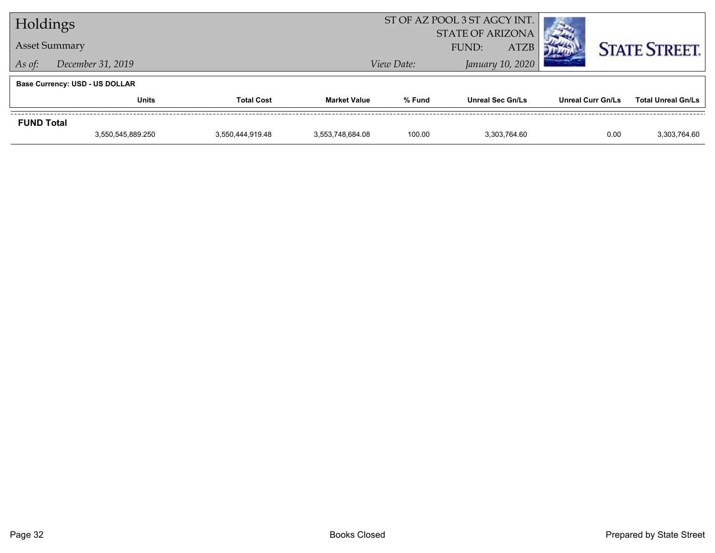|                   | Holdings                              |  |                     | ST OF AZ POOL 3 ST AGCY INT. |                         |                          |                           |
|-------------------|---------------------------------------|--|---------------------|------------------------------|-------------------------|--------------------------|---------------------------|
|                   |                                       |  |                     |                              | <b>STATE OF ARIZONA</b> |                          |                           |
|                   | <b>Asset Summary</b>                  |  |                     |                              | <b>ATZB</b><br>FUND:    |                          | <b>STATE STREET.</b>      |
| As of:            | December 31, 2019                     |  |                     | View Date:                   | January 10, 2020        |                          |                           |
|                   | <b>Base Currency: USD - US DOLLAR</b> |  |                     |                              |                         |                          |                           |
|                   | <b>Units</b><br><b>Total Cost</b>     |  | <b>Market Value</b> | % Fund                       | <b>Unreal Sec Gn/Ls</b> | <b>Unreal Curr Gn/Ls</b> | <b>Total Unreal Gn/Ls</b> |
| <b>FUND Total</b> |                                       |  |                     |                              |                         |                          |                           |
|                   | 3,550,545,889.250<br>3,550,444,919.48 |  | 3,553,748,684.08    | 100.00                       | 3.303.764.60            | 0.00                     | 3,303,764.60              |